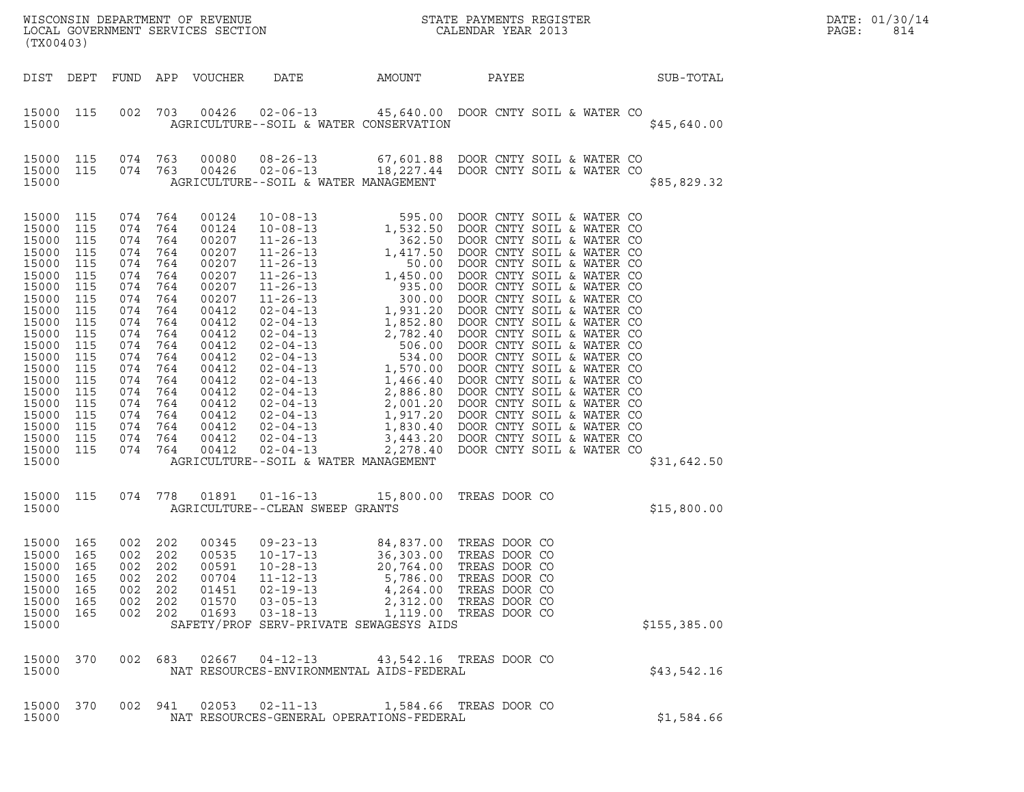| (TX00403)                                                                                                                                                                                                  |                                                                                                                                   |                                                                                                                                                                                                                         |                   | LOCAL GOVERNMENT SERVICES SECTION                                                                                                                                                         |                                                                                                                                                                       |        | WISCONSIN DEPARTMENT OF REVENUE<br>LOCAL GOVERNMENT SERVICES SECTION CALENDAR YEAR 2013                                                                                               |              | DATE: 01/30/14<br>PAGE:<br>814 |
|------------------------------------------------------------------------------------------------------------------------------------------------------------------------------------------------------------|-----------------------------------------------------------------------------------------------------------------------------------|-------------------------------------------------------------------------------------------------------------------------------------------------------------------------------------------------------------------------|-------------------|-------------------------------------------------------------------------------------------------------------------------------------------------------------------------------------------|-----------------------------------------------------------------------------------------------------------------------------------------------------------------------|--------|---------------------------------------------------------------------------------------------------------------------------------------------------------------------------------------|--------------|--------------------------------|
|                                                                                                                                                                                                            |                                                                                                                                   |                                                                                                                                                                                                                         |                   | DIST DEPT FUND APP VOUCHER                                                                                                                                                                | DATE                                                                                                                                                                  | AMOUNT | PAYEE                                                                                                                                                                                 | SUB-TOTAL    |                                |
| 15000 115<br>15000                                                                                                                                                                                         |                                                                                                                                   |                                                                                                                                                                                                                         |                   |                                                                                                                                                                                           | 002 703 00426 02-06-13<br>AGRICULTURE--SOIL & WATER CONSERVATION                                                                                                      |        | 45,640.00 DOOR CNTY SOIL & WATER CO                                                                                                                                                   | \$45,640.00  |                                |
| 15000 115<br>15000 115<br>15000                                                                                                                                                                            |                                                                                                                                   | 074 763<br>074 763                                                                                                                                                                                                      |                   | 00080<br>00426                                                                                                                                                                            | AGRICULTURE--SOIL & WATER MANAGEMENT                                                                                                                                  |        | 08-26-13 67,601.88 DOOR CNTY SOIL & WATER CO<br>02-06-13 18,227.44 DOOR CNTY SOIL & WATER CO                                                                                          | \$85,829.32  |                                |
| 15000 115<br>15000<br>15000<br>15000<br>15000<br>15000<br>15000<br>15000<br>15000<br>15000<br>15000<br>15000<br>15000<br>15000<br>15000<br>15000<br>15000<br>15000<br>15000<br>15000<br>15000 115<br>15000 | 115<br>115<br>115<br>115<br>115<br>115<br>115<br>115<br>115<br>115<br>115<br>115<br>115<br>115<br>115<br>115<br>115<br>115<br>115 | 074 764<br>074 764<br>074 764<br>074 764<br>074 764<br>074 764<br>074 764<br>074 764<br>074<br>074 764<br>074<br>074 764<br>074<br>074 764<br>074 764<br>074 764<br>074 764<br>074 764<br>074 764<br>074 764<br>074 764 | 764<br>764<br>764 | 00124<br>00124<br>00207<br>00207<br>00207<br>00207<br>00207<br>00207<br>00412<br>00412<br>00412<br>00412<br>00412<br>00412<br>00412<br>00412<br>00412<br>00412<br>00412<br>00412<br>00412 | AGRICULTURE--SOIL & WATER MANAGEMENT                                                                                                                                  |        |                                                                                                                                                                                       | \$31,642.50  |                                |
| 15000 115<br>15000                                                                                                                                                                                         |                                                                                                                                   |                                                                                                                                                                                                                         |                   |                                                                                                                                                                                           | 074 778 01891 01-16-13 15,800.00 TREAS DOOR CO<br>AGRICULTURE--CLEAN SWEEP GRANTS                                                                                     |        |                                                                                                                                                                                       | \$15,800.00  |                                |
| 15000 165<br>15000 165<br>15000<br>15000<br>15000<br>15000<br>15000<br>15000                                                                                                                               | 165<br>165<br>165<br>165<br>165                                                                                                   | 002 202<br>002 202<br>002<br>002 202<br>002<br>002 202<br>002 202                                                                                                                                                       | 202<br>202        | 00345<br>00535<br>00591<br>00704<br>01451<br>01570<br>01693                                                                                                                               | $09 - 23 - 13$<br>$10 - 17 - 13$<br>$10 - 28 - 13$<br>$11 - 12 - 13$<br>$02 - 19 - 13$<br>$03 - 05 - 13$<br>$03 - 18 - 13$<br>SAFETY/PROF SERV-PRIVATE SEWAGESYS AIDS |        | 84,837.00 TREAS DOOR CO<br>36,303.00 TREAS DOOR CO<br>20,764.00 TREAS DOOR CO<br>5,786.00 TREAS DOOR CO<br>4,264.00 TREAS DOOR CO<br>2,312.00 TREAS DOOR CO<br>1,119.00 TREAS DOOR CO | \$155,385.00 |                                |
| 15000 370<br>15000                                                                                                                                                                                         |                                                                                                                                   | 002 683                                                                                                                                                                                                                 |                   |                                                                                                                                                                                           | 02667  04-12-13  43,542.16  TREAS DOOR CO<br>NAT RESOURCES-ENVIRONMENTAL AIDS-FEDERAL                                                                                 |        |                                                                                                                                                                                       | \$43,542.16  |                                |
| 15000 370<br>15000                                                                                                                                                                                         |                                                                                                                                   | 002 941                                                                                                                                                                                                                 |                   |                                                                                                                                                                                           | $02053$ $02 - 11 - 13$<br>NAT RESOURCES-GENERAL OPERATIONS-FEDERAL                                                                                                    |        | 1,584.66 TREAS DOOR CO                                                                                                                                                                | \$1,584.66   |                                |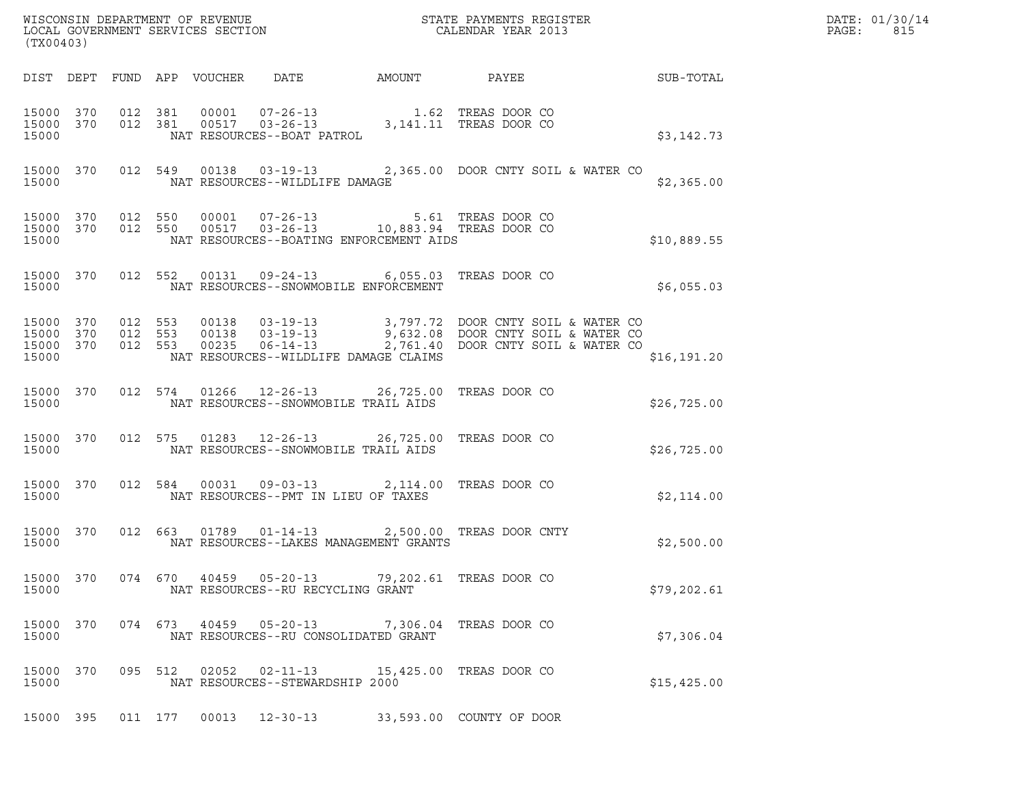| DATE: | 01/30/14 |
|-------|----------|
| PAGE: | 815      |

| (TX00403)                                    |           |         |         |                                 |                                                         |                                         |                                                                                                                                                                                     |              | DATE: 01/30/14<br>PAGE:<br>815 |
|----------------------------------------------|-----------|---------|---------|---------------------------------|---------------------------------------------------------|-----------------------------------------|-------------------------------------------------------------------------------------------------------------------------------------------------------------------------------------|--------------|--------------------------------|
|                                              |           |         |         | DIST DEPT FUND APP VOUCHER DATE |                                                         |                                         |                                                                                                                                                                                     |              |                                |
| 15000 370<br>15000 370<br>15000              |           |         |         |                                 | NAT RESOURCES--BOAT PATROL                              |                                         | 012 381 00001 07-26-13 1.62 TREAS DOOR CO<br>012 381 00517 03-26-13 3,141.11 TREAS DOOR CO                                                                                          | \$3,142.73   |                                |
| 15000 370<br>15000                           |           |         |         |                                 | NAT RESOURCES--WILDLIFE DAMAGE                          |                                         | 012 549 00138 03-19-13 2,365.00 DOOR CNTY SOIL & WATER CO                                                                                                                           | \$2,365.00   |                                |
| 15000 370<br>15000 370<br>15000              |           | 012 550 |         |                                 |                                                         | NAT RESOURCES--BOATING ENFORCEMENT AIDS | 012 550 00001 07-26-13 5.61 TREAS DOOR CO<br>012 550 00517 03-26-13 10,883.94 TREAS DOOR CO                                                                                         | \$10,889.55  |                                |
| 15000 370<br>15000                           |           |         |         |                                 |                                                         | NAT RESOURCES--SNOWMOBILE ENFORCEMENT   | 012 552 00131 09-24-13 6,055.03 TREAS DOOR CO                                                                                                                                       | \$6,055.03   |                                |
| 15000 370<br>15000 370<br>15000 370<br>15000 |           |         |         |                                 |                                                         | NAT RESOURCES--WILDLIFE DAMAGE CLAIMS   | 012 553 00138 03-19-13 3,797.72 DOOR CNTY SOIL & WATER CO<br>012 553 00138 03-19-13 9,632.08 DOOR CNTY SOIL & WATER CO<br>012 553 00235 06-14-13 2,761.40 DOOR CNTY SOIL & WATER CO | \$16, 191.20 |                                |
| 15000 370<br>15000                           |           |         |         |                                 | NAT RESOURCES--SNOWMOBILE TRAIL AIDS                    |                                         | 012 574 01266 12-26-13 26,725.00 TREAS DOOR CO                                                                                                                                      | \$26,725.00  |                                |
| 15000 370<br>15000                           |           |         |         |                                 | NAT RESOURCES--SNOWMOBILE TRAIL AIDS                    |                                         | 012 575 01283 12-26-13 26,725.00 TREAS DOOR CO                                                                                                                                      | \$26,725.00  |                                |
| 15000 370<br>15000                           |           |         |         |                                 | NAT RESOURCES--PMT IN LIEU OF TAXES                     |                                         | 012 584 00031 09-03-13 2,114.00 TREAS DOOR CO                                                                                                                                       | \$2,114.00   |                                |
| 15000                                        | 15000 370 |         |         |                                 |                                                         | NAT RESOURCES--LAKES MANAGEMENT GRANTS  | 012 663 01789 01-14-13 2,500.00 TREAS DOOR CNTY                                                                                                                                     | \$2,500.00   |                                |
| 15000<br>15000                               | 370       |         | 074 670 |                                 | $40459$ $05-20-13$<br>NAT RESOURCES--RU RECYCLING GRANT |                                         | 79,202.61 TREAS DOOR CO                                                                                                                                                             | \$79,202.61  |                                |
| 15000<br>15000                               | 370       |         | 074 673 | 40459                           | $05 - 20 - 13$<br>NAT RESOURCES--RU CONSOLIDATED GRANT  |                                         | 7,306.04 TREAS DOOR CO                                                                                                                                                              | \$7,306.04   |                                |
| 15000<br>15000                               | 370       |         | 095 512 | 02052                           | $02 - 11 - 13$<br>NAT RESOURCES--STEWARDSHIP 2000       |                                         | 15,425.00 TREAS DOOR CO                                                                                                                                                             | \$15,425.00  |                                |
| 15000 395                                    |           |         | 011 177 | 00013                           | $12 - 30 - 13$                                          |                                         | 33,593.00 COUNTY OF DOOR                                                                                                                                                            |              |                                |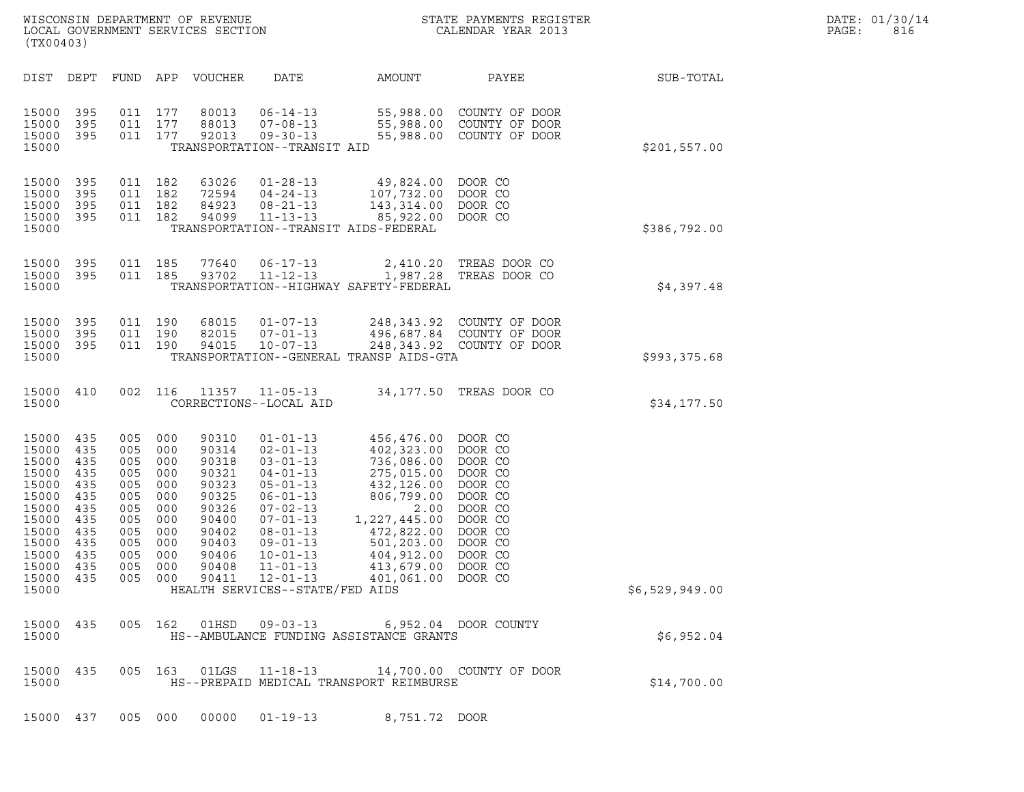| WISCONSIN DEPARTMENT OF REVENUE<br>LOCAL GOVERNMENT SERVICES SECTION<br>(TX00403) | STATE PAYMENTS REGISTER<br>CALENDAR YEAR 2013 | DATE: 01/30/14<br>PAGE:<br>816 |
|-----------------------------------------------------------------------------------|-----------------------------------------------|--------------------------------|

| (TX00403)                                                                                                                                                                                                                                                                                                        |                                                                                                                                                                                                                                                                                                                                                                                                                                                                                           |                                                                                                                                                                                                                                                                                                                               |                |
|------------------------------------------------------------------------------------------------------------------------------------------------------------------------------------------------------------------------------------------------------------------------------------------------------------------|-------------------------------------------------------------------------------------------------------------------------------------------------------------------------------------------------------------------------------------------------------------------------------------------------------------------------------------------------------------------------------------------------------------------------------------------------------------------------------------------|-------------------------------------------------------------------------------------------------------------------------------------------------------------------------------------------------------------------------------------------------------------------------------------------------------------------------------|----------------|
| DIST<br>DEPT<br>FUND APP                                                                                                                                                                                                                                                                                         | <b>VOUCHER</b><br>DATE                                                                                                                                                                                                                                                                                                                                                                                                                                                                    | AMOUNT<br>PAYEE                                                                                                                                                                                                                                                                                                               | SUB-TOTAL      |
| 15000<br>395<br>011<br>011<br>15000<br>395<br>15000<br>395<br>011<br>15000                                                                                                                                                                                                                                       | 177<br>80013<br>$06 - 14 - 13$<br>177<br>88013<br>$07 - 08 - 13$<br>177<br>92013<br>$09 - 30 - 13$<br>TRANSPORTATION--TRANSIT AID                                                                                                                                                                                                                                                                                                                                                         | 55,988.00<br>COUNTY OF DOOR<br>55,988.00<br>COUNTY OF DOOR<br>COUNTY OF DOOR<br>55,988.00                                                                                                                                                                                                                                     | \$201,557.00   |
| 15000<br>395<br>011<br>15000<br>395<br>011<br>15000<br>395<br>011<br>15000<br>395<br>011<br>15000                                                                                                                                                                                                                | 182<br>63026<br>$01 - 28 - 13$<br>182<br>72594<br>$04 - 24 - 13$<br>182<br>84923<br>$08 - 21 - 13$<br>182<br>$11 - 13 - 13$<br>94099<br>TRANSPORTATION--TRANSIT AIDS-FEDERAL                                                                                                                                                                                                                                                                                                              | 49,824.00<br>DOOR CO<br>107,732.00<br>DOOR CO<br>143, 314.00<br>DOOR CO<br>85,922.00<br>DOOR CO                                                                                                                                                                                                                               | \$386,792.00   |
| 15000<br>395<br>011<br>15000<br>395<br>011<br>15000                                                                                                                                                                                                                                                              | 77640<br>$06 - 17 - 13$<br>185<br>185<br>$11 - 12 - 13$<br>93702<br>TRANSPORTATION--HIGHWAY SAFETY-FEDERAL                                                                                                                                                                                                                                                                                                                                                                                | 2,410.20<br>TREAS DOOR CO<br>1,987.28<br>TREAS DOOR CO                                                                                                                                                                                                                                                                        | \$4,397.48     |
| 15000<br>395<br>011<br>011<br>15000<br>395<br>011<br>15000<br>395<br>15000                                                                                                                                                                                                                                       | 190<br>68015<br>$01 - 07 - 13$<br>$07 - 01 - 13$<br>190<br>82015<br>190<br>94015<br>$10 - 07 - 13$<br>TRANSPORTATION--GENERAL TRANSP AIDS-GTA                                                                                                                                                                                                                                                                                                                                             | 248,343.92 COUNTY OF DOOR<br>496,687.84 COUNTY OF DOOR<br>248,343.92 COUNTY OF DOOR                                                                                                                                                                                                                                           | \$993,375.68   |
| 15000<br>410<br>002<br>15000                                                                                                                                                                                                                                                                                     | 116<br>11357<br>$11 - 05 - 13$<br>CORRECTIONS--LOCAL AID                                                                                                                                                                                                                                                                                                                                                                                                                                  | 34,177.50<br>TREAS DOOR CO                                                                                                                                                                                                                                                                                                    | \$34,177.50    |
| 15000<br>435<br>005<br>15000<br>435<br>005<br>15000<br>435<br>005<br>15000<br>435<br>005<br>15000<br>435<br>005<br>15000<br>435<br>005<br>15000<br>435<br>005<br>15000<br>435<br>005<br>15000<br>435<br>005<br>15000<br>435<br>005<br>15000<br>435<br>005<br>15000<br>435<br>005<br>15000<br>435<br>005<br>15000 | 000<br>90310<br>$01 - 01 - 13$<br>000<br>90314<br>$02 - 01 - 13$<br>000<br>90318<br>$03 - 01 - 13$<br>$04 - 01 - 13$<br>000<br>90321<br>000<br>90323<br>$05 - 01 - 13$<br>000<br>90325<br>$06 - 01 - 13$<br>000<br>90326<br>$07 - 02 - 13$<br>$07 - 01 - 13$<br>000<br>90400<br>000<br>90402<br>$08 - 01 - 13$<br>000<br>90403<br>$09 - 01 - 13$<br>000<br>90406<br>$10 - 01 - 13$<br>000<br>90408<br>$11 - 01 - 13$<br>000<br>90411<br>$12 - 01 - 13$<br>HEALTH SERVICES--STATE/FED AIDS | 456,476.00<br>DOOR CO<br>402,323.00<br>DOOR CO<br>736,086.00<br>DOOR CO<br>275,015.00<br>DOOR CO<br>DOOR CO<br>432,126.00<br>806,799.00<br>DOOR CO<br>DOOR CO<br>2.00<br>1,227,445.00<br>DOOR CO<br>DOOR CO<br>472,822.00<br>501,203.00<br>DOOR CO<br>404,912.00<br>DOOR CO<br>DOOR CO<br>413,679.00<br>DOOR CO<br>401,061.00 | \$6,529,949.00 |
| 15000<br>435<br>005<br>15000                                                                                                                                                                                                                                                                                     | 162<br>$09 - 03 - 13$<br>01HSD<br>HS--AMBULANCE FUNDING ASSISTANCE GRANTS                                                                                                                                                                                                                                                                                                                                                                                                                 | 6,952.04 DOOR COUNTY                                                                                                                                                                                                                                                                                                          | \$6,952.04     |
| 15000<br>435<br>005<br>15000                                                                                                                                                                                                                                                                                     | 163<br>01LGS<br>$11 - 18 - 13$<br>HS--PREPAID MEDICAL TRANSPORT REIMBURSE                                                                                                                                                                                                                                                                                                                                                                                                                 | 14,700.00 COUNTY OF DOOR                                                                                                                                                                                                                                                                                                      | \$14,700.00    |
| 15000 437                                                                                                                                                                                                                                                                                                        | 00000<br>$01 - 19 - 13$<br>005 000                                                                                                                                                                                                                                                                                                                                                                                                                                                        | 8,751.72 DOOR                                                                                                                                                                                                                                                                                                                 |                |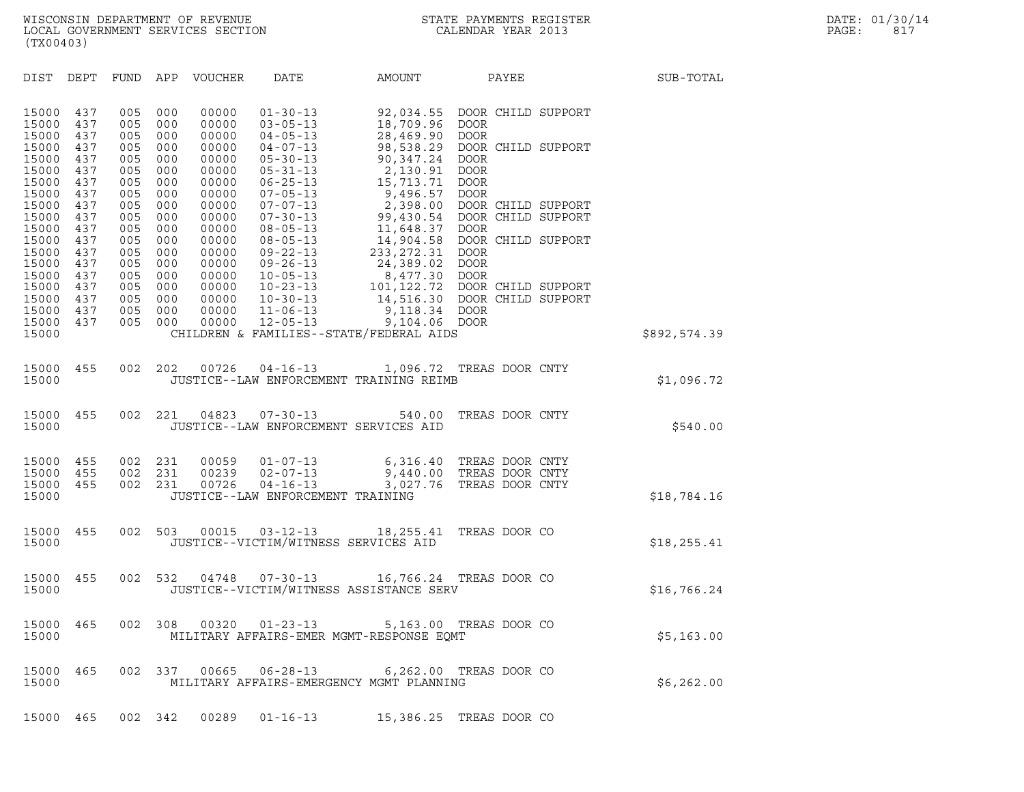DIST DEPT FUND APP VOUCHER DATE AMOUNT PAYEE PAYEE SUB-TOTAL DIST DEPT FUND APP VOUCHER DATE AMOUNT PAYEE<br>15000 437 005 000 00000 01-30-13 92,034.55 DOOR CHILD SUPPORT<br>15000 437 005 000 00000 03-05-13 18,709.96 DOOR 15000 437 005 000 00000 01-30-13 92,034.55 DOORCH:<br>15000 437 005 000 00000 03-05-13 18,709.96 DOOR<br>15000 437 005 000 00000 04-05-13 28,469.90 DOOR 15000 437 005 000 00000 01-30-13 92,034.55 DOOR CH:<br>15000 437 005 000 00000 03-05-13 18,709.96 DOOR<br>15000 437 005 000 00000 04-05-13 28,469.90 DOOR<br>15000 437 005 000 00000 04-07-13 98,538.29 DOOR CH: 15000 437 005 000 00000 01-30-13 92,034.55 DOOR CHILD SUPPORT<br>15000 437 005 000 00000 03-05-13 18,709.96 DOOR<br>15000 437 005 000 00000 04-05-13 28,469.90 DOOR<br>15000 437 005 000 00000 04-07-13 98,538.29 DOOR CHILD SUPPORT<br>15 15000 437 005 000 00000 03-05-13 18,709.96 DOOR<br>15000 437 005 000 00000 04-05-13 28,469.90 DOOR<br>15000 437 005 000 00000 04-07-13 98,538.29 DOOR CH:<br>15000 437 005 000 00000 05-30-13 90,347.24 DOOR<br>15000 437 005 000 00000 05 15000 437 005 000 00000 04-05-13 28,469.90 DOOR<br>15000 437 005 000 00000 04-07-13 98,538.29 DOOR CH:<br>15000 437 005 000 00000 05-30-13 90,347.24 DOOR<br>15000 437 005 000 00000 05-31-13 2,130.91 DOOR<br>15000 437 005 000 00000 06-15000 437 005 000 00000 04-07-13 98,538.29 DOOR CH:<br>15000 437 005 000 00000 05-30-13 90,347.24 DOOR<br>15000 437 005 000 00000 05-31-13 2,130.91 DOOR<br>15000 437 005 000 00000 06-25-13 15,713.71 DOOR<br>15000 437 005 000 00000 07-15000 437 005 000 00000 05-30-13 90,347.24 DOOR<br>15000 437 005 000 00000 05-31-13 2,130.91 DOOR<br>15000 437 005 000 00000 06-25-13 15,713.71 DOOR<br>15000 437 005 000 00000 07-05-13 9,496.57 DOOR<br>15000 437 005 000 00000 07-07-13 15000 437 005 000 00000 05-31-13 2,130.91 DOOR<br>15000 437 005 000 00000 06-25-13 15,713.71 DOOR<br>15000 437 005 000 00000 07-05-13 2,398.50 DOOR<br>15000 437 005 000 00000 07-07-13 2,398.00 DOORCHILD SUPPORT<br>15000 437 005 000 00 15000 437 005 000 00000 06-25-13 15,713.71 DOOR<br>15000 437 005 000 00000 07-05-13 9,496.57 DOOR<br>15000 437 005 000 00000 07-07-13 2,398.00 DOOR CHILD SUPPORT<br>15000 437 005 000 00000 07-30-13 99,430.54 DOOR CHILD SUPPORT<br>1500 15000 437 005 000 00000 07-05-13 9,496.57 DOOR<br>15000 437 005 000 00000 07-07-13 2,398.00 DOOR CH:<br>15000 437 005 000 00000 07-30-13 99,430.54 DOOR CH:<br>15000 437 005 000 00000 08-05-13 11,648.37 DOOR<br>15000 437 005 000 00000 15000 437 005 000 00000 07-07-13 2,398.00 DOOR CHILD SUPPORT<br>15000 437 005 000 00000 07-30-13 99,430.54 DOOR CHILD SUPPORT<br>15000 437 005 000 00000 08-05-13 11,648.37 DOOR<br>15000 437 005 000 00000 09-22-13 233.272.31 DOOR 15000 437 005 000 00000 07-30-13 99,430.54 DOOR CH:<br>15000 437 005 000 00000 08-05-13 11,648.37 DOOR CH:<br>15000 437 005 000 00000 08-05-13 14,904.58 DOOR CH:<br>15000 437 005 000 00000 09-22-13 233,272.31 DOOR<br>15000 437 005 000 15000 437 005 000 00000 08-05-13 11,648.37 DOOR<br>15000 437 005 000 00000 08-05-13 14,904.58 DOOR CH:<br>15000 437 005 000 00000 09-22-13 233,272.31 DOOR<br>15000 437 005 000 00000 09-22-13 24,389.02 DOOR<br>15000 437 005 000 00000 1 15000 437 005 000 00000 08-05-13 14,904.58 DOOR CH:<br>15000 437 005 000 00000 09-22-13 233,272.31 DOOR<br>15000 437 005 000 00000 09-26-13 24,389.02 DOOR<br>15000 437 005 000 00000 10-05-13 8,477.30 DOOR<br>15000 437 005 000 00000 10 15000 437 005 000 00000 09-22-13 233,272.31 DOOR<br>15000 437 005 000 00000 09-26-13 24,389.02 DOOR<br>15000 437 005 000 00000 10-05-13 8,477.30 DOOR<br>15000 437 005 000 00000 10-23-13 101,122.72 DOOR CHILD SUPPORT<br>15000 437 005 0 15000 437 005 000 00000 09-26-13 24,389.02 DOOR<br>15000 437 005 000 00000 10-05-13 8,477.30 DOOR<br>15000 437 005 000 00000 10-23-13 101,122.72 DOOR CHILD SUPPORT<br>15000 437 005 000 00000 10-30-13 14,516.30 DOOR CHILD SUPPORT<br>15 15000 437 005 000 00000 10-05-13 8,477.30 DOOR<br>15000 437 005 000 00000 10-23-13 101,122.72 DOOR CH:<br>15000 437 005 000 00000 10-30-13 14,516.30 DOOR CH:<br>15000 437 005 000 00000 11-06-13 9,118.34 DOOR<br>15000 437 005 000 00000 15000 437 005 000 00000 10-23-13 101,122.72 DOOR CH:<br>15000 437 005 000 00000 10-30-13 14,516.30 DOOR CH:<br>15000 437 005 000 00000 11-06-13 9,118.34 DOOR<br>15000 437 005 000 00000 12-05-13 9,104.06 DOOR<br>15000 13000 CHILDREN & <sup>15000</sup> CHILDREN & FAMILIES--STATE/FEDERAL AIDS \$892,574.39 15000 455 002 202 00726 04-16-13 1,096.72 TREAS DOOR CNTY <sup>15000</sup> JUSTICE--LAW ENFORCEMENT TRAINING REIMB \$1,096.72 15000 JUSTICE--LAW ENFORCEMENT TRAINING REIMB<br>15000 455 002 221 04823 07-30-13 540.00 TREAS DOOR CNTY<br>15000 JUSTICE--LAW ENFORCEMENT SERVI 15000 455 002 221 04823 07-30-13 540.00 TREASDOORCNTY<br>15000 15000 JUSTICE--LAW ENFORCEMENT SERVICES AID 15000 JUSTICE--LAW ENFORCEMENT SERVICES AID<br>15000 455 002 231 00059 01-07-13 6,316.40 TREAS DOOR CNTY<br>15000 455 002 231 00239 02-07-13 9,440.00 TRE 15000 455 002 231 00059 01-07-13 6,316.40 TREAS DOOR CNTY<br>15000 455 002 231 00239 02-07-13 9,440.00 TREAS DOOR CNTY<br>15000 455 002 231 00726 04-16-13 3,027.76 TREAS DOOR CNTY 15000 455 002 231 00059 01-07-13 6,316.40 TREAS DOOR CNTY<br>15000 455 002 231 00239 02-07-13 9,440.00 TREAS DOOR CNTY<br>15000 455 002 231 00726 04-16-13 3,027.76 TREAS DOOR CNTY<br>15000 JUSTICE--LAW ENFORCEMENT TRAINING <sup>15000</sup> JUSTICE--LAW ENFORCEMENT TRAINING \$18,784.16 15000 JUSTICE--LAW ENFORCEMENT TRAINING<br>15000 455 002 503 00015 03-12-13 18,255.41 TREAS DOOR CO<br>15000 JUSTICE--VICTIM/WITNESS SERVICES AID 15000 455 002 503 00015 03-12-13 18,255.41 TREASDOORCO (\$18,255.41)<br>15000 JUSTICE--VICTIM/WITNESSSERVICESAID 15000 JUSTICE--VICTIM/WITNESS SERVICES AID<br>15000 455 002 532 04748 07-30-13 16,766.24 TREAS DOOR CO<br>15000 JUSTICE--VICTIM/WITNESS ASSISTANCE SERV <sup>15000</sup> JUSTICE--VICTIM/WITNESS ASSISTANCE SERV \$16,766.24 15000 465 002 308 00320 01-23-13 5,163.00 TREAS DOOR CO <sup>15000</sup> MILITARY AFFAIRS-EMER MGMT-RESPONSE EQMT \$5,163.00 15000 465 002 337 00665 06-28-13 6,262.00 TREAS DOOR CO <sup>15000</sup> MILITARY AFFAIRS-EMERGENCY MGMT PLANNING \$6,262.00 15000 465 002 342 00289 01-16-13 15,386.25 TREAS DOOR CO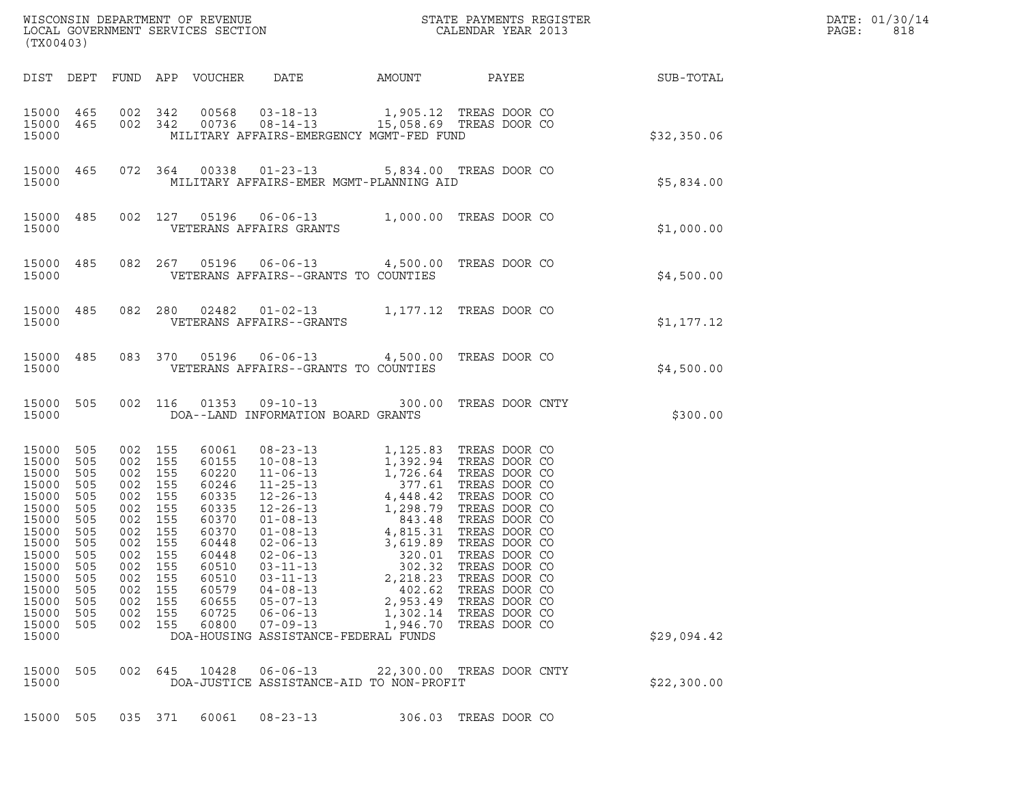| (TX00403)                                                                                                                                                 |                                                                                                       |                                                                                                                                                      |                                        |                                                                                                                                              |                                                                                                                                                                                                                                    |                                                                  |                                                                                                                            |                                                        | DATE: 01/30/14<br>PAGE:<br>818 |
|-----------------------------------------------------------------------------------------------------------------------------------------------------------|-------------------------------------------------------------------------------------------------------|------------------------------------------------------------------------------------------------------------------------------------------------------|----------------------------------------|----------------------------------------------------------------------------------------------------------------------------------------------|------------------------------------------------------------------------------------------------------------------------------------------------------------------------------------------------------------------------------------|------------------------------------------------------------------|----------------------------------------------------------------------------------------------------------------------------|--------------------------------------------------------|--------------------------------|
|                                                                                                                                                           |                                                                                                       |                                                                                                                                                      |                                        |                                                                                                                                              |                                                                                                                                                                                                                                    |                                                                  |                                                                                                                            | DIST DEPT FUND APP VOUCHER DATE AMOUNT PAYEE SUB-TOTAL |                                |
| 15000                                                                                                                                                     |                                                                                                       |                                                                                                                                                      |                                        |                                                                                                                                              | $\begin{array}{cccccccc} 15000& 465& 002& 342& 00568& 03-18-13& 1,905.12 & \text{TREAS DOOR CO}\\ 15000& 465& 002& 342& 00736& 08-14-13& 15,058.69 & \text{TREAS DOOR CO} \end{array}$<br>MILITARY AFFAIRS-EMERGENCY MGMT-FED FUND |                                                                  |                                                                                                                            | \$32,350.06                                            |                                |
| 15000                                                                                                                                                     |                                                                                                       |                                                                                                                                                      |                                        |                                                                                                                                              | 15000 465 072 364 00338 01-23-13 5,834.00 TREAS DOOR CO<br>MILITARY AFFAIRS-EMER MGMT-PLANNING AID                                                                                                                                 |                                                                  |                                                                                                                            | \$5,834.00                                             |                                |
| 15000                                                                                                                                                     |                                                                                                       |                                                                                                                                                      |                                        |                                                                                                                                              | 15000 485 002 127 05196 06-06-13 1,000.00 TREAS DOOR CO<br>VETERANS AFFAIRS GRANTS                                                                                                                                                 |                                                                  |                                                                                                                            | \$1,000.00                                             |                                |
| 15000                                                                                                                                                     |                                                                                                       |                                                                                                                                                      |                                        |                                                                                                                                              | 15000 485 082 267 05196 06-06-13 4,500.00 TREAS DOOR CO<br>VETERANS AFFAIRS--GRANTS TO COUNTIES                                                                                                                                    |                                                                  |                                                                                                                            | \$4,500.00                                             |                                |
| 15000                                                                                                                                                     |                                                                                                       |                                                                                                                                                      |                                        |                                                                                                                                              | 15000 485 082 280 02482 01-02-13 1,177.12 TREAS DOOR CO<br>VETERANS AFFAIRS--GRANTS                                                                                                                                                |                                                                  |                                                                                                                            | \$1,177.12                                             |                                |
| 15000                                                                                                                                                     |                                                                                                       |                                                                                                                                                      |                                        |                                                                                                                                              | 15000 485 083 370 05196 06-06-13 4,500.00 TREAS DOOR CO<br>VETERANS AFFAIRS--GRANTS TO COUNTIES                                                                                                                                    |                                                                  |                                                                                                                            | \$4,500.00                                             |                                |
| 15000                                                                                                                                                     |                                                                                                       |                                                                                                                                                      |                                        |                                                                                                                                              | DOA--LAND INFORMATION BOARD GRANTS                                                                                                                                                                                                 |                                                                  | 15000 505 002 116 01353 09-10-13 300.00 TREAS DOOR CNTY                                                                    | \$300.00                                               |                                |
| 15000<br>15000<br>15000<br>15000<br>15000<br>15000<br>15000<br>15000<br>15000<br>15000 505<br>15000<br>15000<br>15000<br>15000<br>15000<br>15000<br>15000 | 505<br>505<br>505<br>505<br>505<br>505<br>505<br>505<br>505<br>505<br>505<br>505<br>505<br>505<br>505 | 002 155<br>002 155<br>002 155<br>002 155<br>002 155<br>002 155<br>002 155<br>002 155<br>002 155<br>002 155<br>002<br>002<br>002<br>002<br>002<br>002 | 155<br>155<br>155<br>155<br>155<br>155 | 60061<br>60155<br>60220<br>60246<br>60335<br>60335<br>60370<br>60370<br>60448<br>60448<br>60510<br>60510<br>60579<br>60655<br>60725<br>60800 | $02 - 06 - 13$<br>$03 - 11 - 13$<br>$03 - 11 - 13$<br>$04 - 08 - 13$<br>$05 - 07 - 13$<br>$06 - 06 - 13$<br>$07 - 09 - 13$<br>DOA-HOUSING ASSISTANCE-FEDERAL FUNDS                                                                 | 302.32<br>2,218.23<br>402.62<br>2,953.49<br>1,302.14<br>1,946.70 | 320.01 TREAS DOOR CO<br>TREAS DOOR CO<br>TREAS DOOR CO<br>TREAS DOOR CO<br>TREAS DOOR CO<br>TREAS DOOR CO<br>TREAS DOOR CO | \$29,094.42                                            |                                |
| 15000<br>15000                                                                                                                                            | 505                                                                                                   | 002 645                                                                                                                                              |                                        | 10428                                                                                                                                        | $06 - 06 - 13$<br>DOA-JUSTICE ASSISTANCE-AID TO NON-PROFIT                                                                                                                                                                         |                                                                  | 22,300.00 TREAS DOOR CNTY                                                                                                  | \$22,300.00                                            |                                |

| 15000 |  |  | DOA-JUSTICE ASSISTANCE-AID TO NON-PROFIT |                      |  |  |
|-------|--|--|------------------------------------------|----------------------|--|--|
|       |  |  | 15000 505 035 371 60061 08-23-13         | 306.03 TREAS DOOR CO |  |  |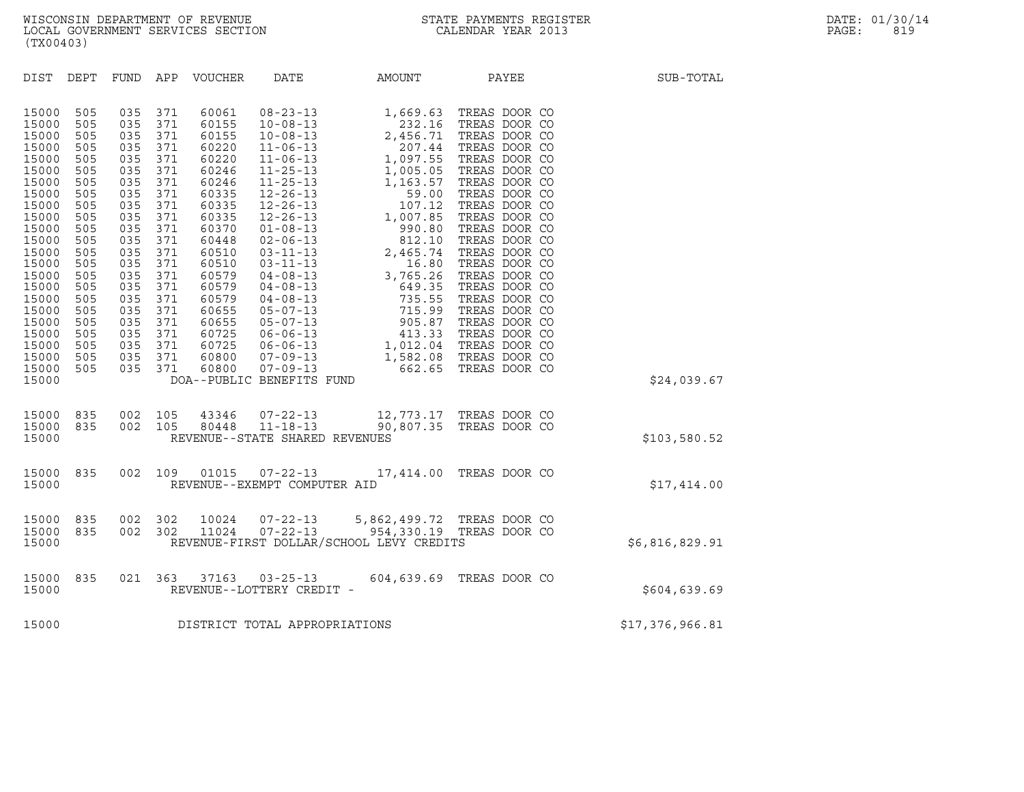| (TX00403)                                                                                                                                                                                                                                                                                                                                                                                                                                                                                                                                              |                                                                                                                                                                                                                                                                                                                                                                                                                                                                                                                                                                                                                                                                                                                                                                                                                                         |                                                                                                                                                                                                                                          |                                                                                                                                                                                                                                                                                                                                                                                                              |                 |
|--------------------------------------------------------------------------------------------------------------------------------------------------------------------------------------------------------------------------------------------------------------------------------------------------------------------------------------------------------------------------------------------------------------------------------------------------------------------------------------------------------------------------------------------------------|-----------------------------------------------------------------------------------------------------------------------------------------------------------------------------------------------------------------------------------------------------------------------------------------------------------------------------------------------------------------------------------------------------------------------------------------------------------------------------------------------------------------------------------------------------------------------------------------------------------------------------------------------------------------------------------------------------------------------------------------------------------------------------------------------------------------------------------------|------------------------------------------------------------------------------------------------------------------------------------------------------------------------------------------------------------------------------------------|--------------------------------------------------------------------------------------------------------------------------------------------------------------------------------------------------------------------------------------------------------------------------------------------------------------------------------------------------------------------------------------------------------------|-----------------|
| DIST<br>DEPT<br>FUND                                                                                                                                                                                                                                                                                                                                                                                                                                                                                                                                   | APP<br>VOUCHER<br>DATE                                                                                                                                                                                                                                                                                                                                                                                                                                                                                                                                                                                                                                                                                                                                                                                                                  | AMOUNT                                                                                                                                                                                                                                   | PAYEE                                                                                                                                                                                                                                                                                                                                                                                                        | SUB-TOTAL       |
| 15000<br>505<br>035<br>035<br>15000<br>505<br>15000<br>035<br>505<br>15000<br>505<br>035<br>15000<br>505<br>035<br>15000<br>505<br>035<br>15000<br>505<br>035<br>15000<br>505<br>035<br>035<br>15000<br>505<br>15000<br>505<br>035<br>15000<br>505<br>035<br>15000<br>505<br>035<br>15000<br>505<br>035<br>15000<br>505<br>035<br>15000<br>035<br>505<br>15000<br>505<br>035<br>035<br>15000<br>505<br>035<br>15000<br>505<br>035<br>15000<br>505<br>035<br>15000<br>505<br>15000<br>505<br>035<br>15000<br>505<br>035<br>035<br>15000<br>505<br>15000 | 371<br>60061<br>$08 - 23 - 13$<br>371<br>60155<br>$10 - 08 - 13$<br>371<br>60155<br>$10 - 08 - 13$<br>371<br>60220<br>$11 - 06 - 13$<br>371<br>60220<br>$11 - 06 - 13$<br>371<br>60246<br>$11 - 25 - 13$<br>371<br>60246<br>$11 - 25 - 13$<br>371<br>$12 - 26 - 13$<br>60335<br>371<br>60335<br>$12 - 26 - 13$<br>371<br>60335<br>$12 - 26 - 13$<br>371<br>60370<br>$01 - 08 - 13$<br>371<br>60448<br>$02 - 06 - 13$<br>371<br>60510<br>$03 - 11 - 13$<br>371<br>60510<br>$03 - 11 - 13$<br>371<br>60579<br>$04 - 08 - 13$<br>371<br>60579<br>$04 - 08 - 13$<br>371<br>60579<br>$04 - 08 - 13$<br>371<br>60655<br>$05 - 07 - 13$<br>371<br>$05 - 07 - 13$<br>60655<br>60725<br>$06 - 06 - 13$<br>371<br>371<br>60725<br>$06 - 06 - 13$<br>60800<br>$07 - 09 - 13$<br>371<br>60800<br>$07 - 09 - 13$<br>371<br>DOA--PUBLIC BENEFITS FUND | 1,669.63<br>232.16<br>2,456.71<br>207.44<br>1,097.55<br>1,005.05<br>1,163.57<br>59.00<br>107.12<br>1,007.85<br>990.80<br>812.10<br>2,465.74<br>16.80<br>3,765.26<br>649.35<br>735.55<br>715.99<br>905.87<br>413.33<br>1,582.08<br>662.65 | TREAS DOOR CO<br>TREAS DOOR CO<br>TREAS DOOR CO<br>TREAS DOOR CO<br>TREAS DOOR CO<br>TREAS DOOR CO<br>TREAS DOOR CO<br>TREAS DOOR CO<br>TREAS DOOR CO<br>TREAS DOOR CO<br>TREAS DOOR CO<br>TREAS DOOR CO<br>TREAS DOOR CO<br>TREAS DOOR CO<br>TREAS DOOR CO<br>TREAS DOOR CO<br>TREAS DOOR CO<br>TREAS DOOR CO<br>TREAS DOOR CO<br>TREAS DOOR CO<br>1,012.04 TREAS DOOR CO<br>TREAS DOOR CO<br>TREAS DOOR CO | \$24,039.67     |
| 15000<br>835<br>002<br>002<br>15000<br>835<br>15000                                                                                                                                                                                                                                                                                                                                                                                                                                                                                                    | 105<br>43346<br>$07 - 22 - 13$<br>80448<br>$11 - 18 - 13$<br>105<br>REVENUE--STATE SHARED REVENUES                                                                                                                                                                                                                                                                                                                                                                                                                                                                                                                                                                                                                                                                                                                                      | 90,807.35                                                                                                                                                                                                                                | 12,773.17 TREAS DOOR CO<br>TREAS DOOR CO                                                                                                                                                                                                                                                                                                                                                                     | \$103,580.52    |
| 15000<br>835<br>002<br>15000                                                                                                                                                                                                                                                                                                                                                                                                                                                                                                                           | 109<br>01015<br>$07 - 22 - 13$<br>REVENUE--EXEMPT COMPUTER AID                                                                                                                                                                                                                                                                                                                                                                                                                                                                                                                                                                                                                                                                                                                                                                          |                                                                                                                                                                                                                                          | 17,414.00 TREAS DOOR CO                                                                                                                                                                                                                                                                                                                                                                                      | \$17,414.00     |
| 15000<br>835<br>002<br>002<br>15000<br>835<br>15000                                                                                                                                                                                                                                                                                                                                                                                                                                                                                                    | 302<br>10024<br>$07 - 22 - 13$<br>$07 - 22 - 13$<br>302<br>11024<br>REVENUE-FIRST DOLLAR/SCHOOL LEVY CREDITS                                                                                                                                                                                                                                                                                                                                                                                                                                                                                                                                                                                                                                                                                                                            |                                                                                                                                                                                                                                          | 5,862,499.72 TREAS DOOR CO<br>954,330.19 TREAS DOOR CO                                                                                                                                                                                                                                                                                                                                                       | \$6,816,829.91  |
| 15000<br>835<br>021<br>15000                                                                                                                                                                                                                                                                                                                                                                                                                                                                                                                           | 363<br>37163<br>$03 - 25 - 13$<br>REVENUE--LOTTERY CREDIT -                                                                                                                                                                                                                                                                                                                                                                                                                                                                                                                                                                                                                                                                                                                                                                             | 604,639.69                                                                                                                                                                                                                               | TREAS DOOR CO                                                                                                                                                                                                                                                                                                                                                                                                | \$604,639.69    |
| 15000                                                                                                                                                                                                                                                                                                                                                                                                                                                                                                                                                  | DISTRICT TOTAL APPROPRIATIONS                                                                                                                                                                                                                                                                                                                                                                                                                                                                                                                                                                                                                                                                                                                                                                                                           |                                                                                                                                                                                                                                          |                                                                                                                                                                                                                                                                                                                                                                                                              | \$17,376,966.81 |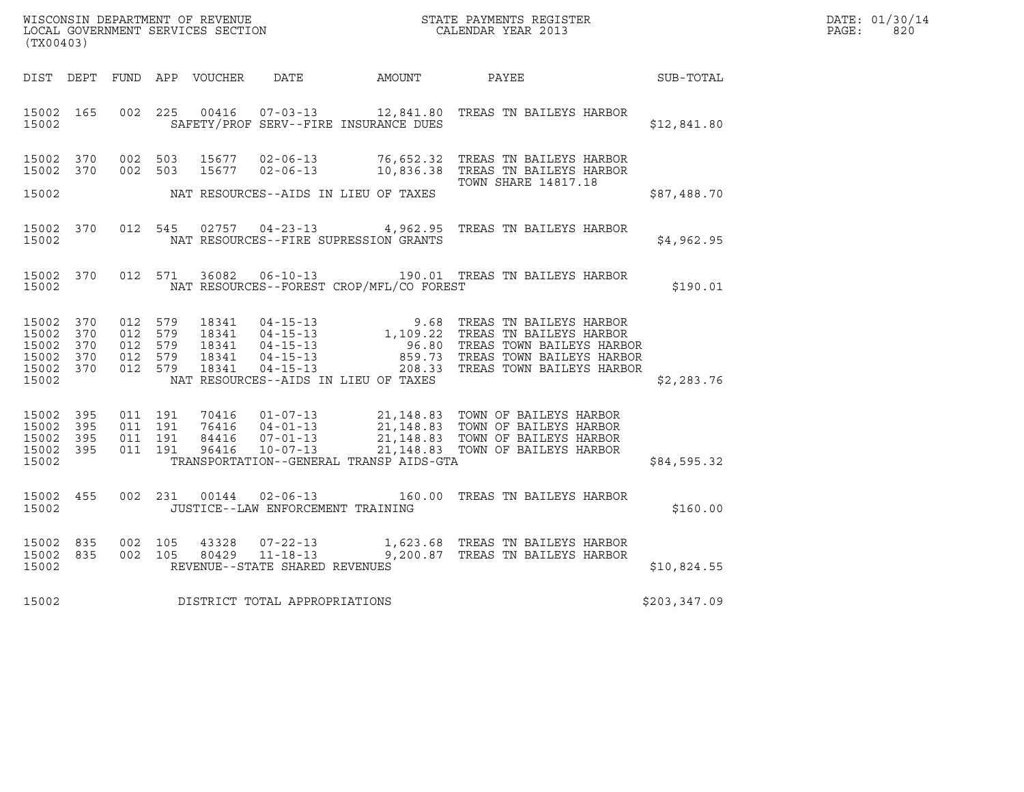| (TX00403)                                                          |     |                                                     |                |                                               |                                              | WISCONSIN DEPARTMENT OF REVENUE<br>LOCAL GOVERNMENT SERVICES SECTION TERM CALENDAR YEAR 2013                                                                                                                                               |              | DATE: 01/30/14<br>$\mathtt{PAGE:}$<br>820 |
|--------------------------------------------------------------------|-----|-----------------------------------------------------|----------------|-----------------------------------------------|----------------------------------------------|--------------------------------------------------------------------------------------------------------------------------------------------------------------------------------------------------------------------------------------------|--------------|-------------------------------------------|
|                                                                    |     |                                                     |                |                                               | DIST DEPT FUND APP VOUCHER DATE AMOUNT PAYEE | SUB-TOTAL                                                                                                                                                                                                                                  |              |                                           |
| 15002 165<br>15002                                                 |     | 002 225                                             |                |                                               | SAFETY/PROF SERV--FIRE INSURANCE DUES        | 00416  07-03-13  12,841.80 TREAS TN BAILEYS HARBOR                                                                                                                                                                                         | \$12,841.80  |                                           |
| 15002 370<br>15002 370                                             |     | 002 503                                             |                |                                               |                                              | 002 503 15677 02-06-13 76,652.32 TREAS TN BAILEYS HARBOR<br>15677  02-06-13  10,836.38  TREAS TN BAILEYS HARBOR<br><b>TOWN SHARE 14817.18</b>                                                                                              |              |                                           |
| 15002                                                              |     |                                                     |                |                                               | NAT RESOURCES--AIDS IN LIEU OF TAXES         |                                                                                                                                                                                                                                            | \$87,488.70  |                                           |
| 15002 370<br>15002                                                 |     |                                                     |                |                                               | NAT RESOURCES--FIRE SUPRESSION GRANTS        | 012 545 02757 04-23-13 4,962.95 TREAS TN BAILEYS HARBOR                                                                                                                                                                                    | \$4,962.95   |                                           |
| 15002 370<br>15002                                                 |     | 012 571                                             |                |                                               | NAT RESOURCES--FOREST CROP/MFL/CO FOREST     | 36082  06-10-13  190.01 TREAS TN BAILEYS HARBOR                                                                                                                                                                                            | \$190.01     |                                           |
| 15002 370<br>15002<br>15002 370<br>15002 370<br>15002 370<br>15002 | 370 | 012 579<br>012 579<br>012 579<br>012 579<br>012 579 |                |                                               | NAT RESOURCES--AIDS IN LIEU OF TAXES         | 18341  04-15-13  9.68 TREAS TN BAILEYS HARBOR<br>18341  04-15-13  1,109.22 TREAS TN BAILEYS HARBOR<br>18341  04-15-13  96.80 TREAS TOWN BAILEYS HARBOR<br>18341  04-15-13  859.73 TREAS TOWN BAILEYS HARBOR<br>18341  04-15-13  208.33 TRE | \$2,283.76   |                                           |
|                                                                    |     |                                                     |                |                                               |                                              |                                                                                                                                                                                                                                            |              |                                           |
| 15002 395<br>15002<br>15002 395<br>15002 395                       | 395 | 011 191<br>011 191<br>011 191<br>011 191            |                |                                               |                                              | 70416  01-07-13  21,148.83  TOWN OF BAILEYS HARBOR<br>76416  04-01-13  21,148.83  TOWN OF BAILEYS HARBOR<br>84416  07-01-13  21,148.83  TOWN OF BAILEYS HARBOR<br>96416  10-07-13  21,148.83  TOWN OF BAILEYS HARBOR                       |              |                                           |
| 15002                                                              |     |                                                     |                |                                               | TRANSPORTATION--GENERAL TRANSP AIDS-GTA      |                                                                                                                                                                                                                                            | \$84,595.32  |                                           |
| 15002 455<br>15002                                                 |     |                                                     |                | JUSTICE--LAW ENFORCEMENT TRAINING             |                                              | 002 231 00144 02-06-13 160.00 TREAS TN BAILEYS HARBOR                                                                                                                                                                                      | \$160.00     |                                           |
| 15002 835<br>15002 835<br>15002                                    |     | 002 105<br>002 105                                  | 43328<br>80429 | $-11-18-13$<br>REVENUE--STATE SHARED REVENUES |                                              | 07-22-13 1,623.68 TREAS TN BAILEYS HARBOR<br>9,200.87 TREAS TN BAILEYS HARBOR                                                                                                                                                              | \$10,824.55  |                                           |
| 15002                                                              |     |                                                     |                | DISTRICT TOTAL APPROPRIATIONS                 |                                              |                                                                                                                                                                                                                                            | \$203,347.09 |                                           |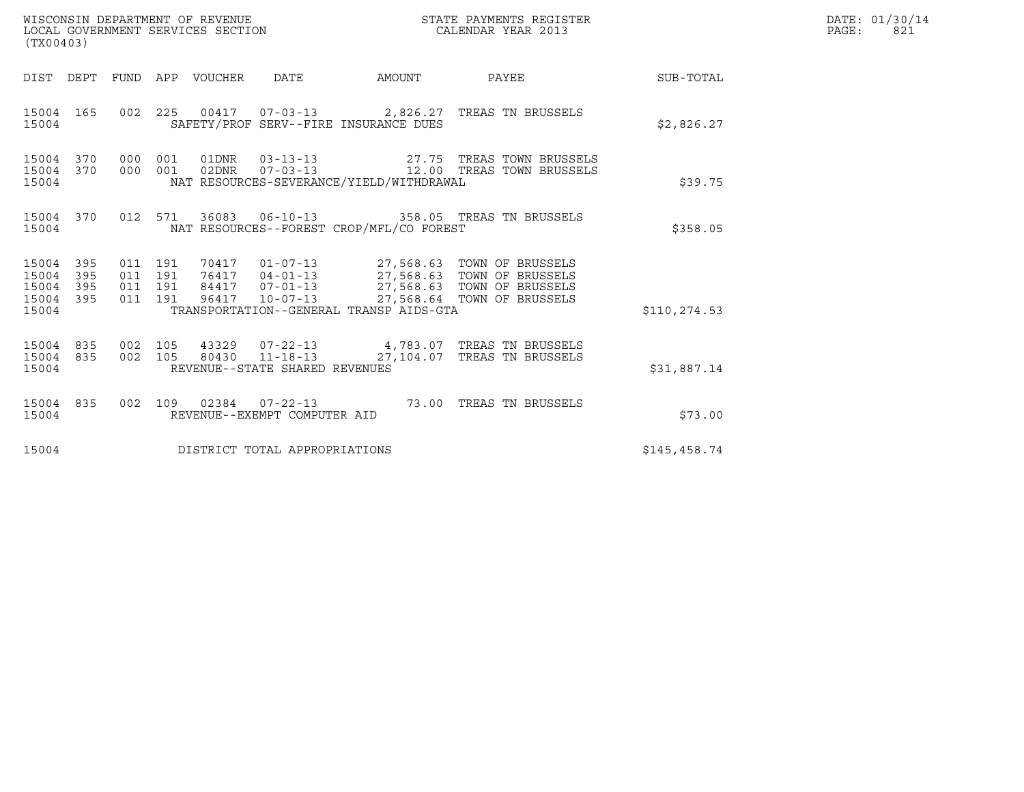| (TX00403)                                     |                   |                                          |         | WISCONSIN DEPARTMENT OF REVENUE<br>LOCAL GOVERNMENT SERVICES SECTION |                                |                                          | STATE PAYMENTS REGISTER<br>CALENDAR YEAR 2013                                                                                                                     |              | DATE: 01/30/14<br>PAGE:<br>821 |
|-----------------------------------------------|-------------------|------------------------------------------|---------|----------------------------------------------------------------------|--------------------------------|------------------------------------------|-------------------------------------------------------------------------------------------------------------------------------------------------------------------|--------------|--------------------------------|
| DIST DEPT                                     |                   |                                          |         | FUND APP VOUCHER                                                     | DATE                           | AMOUNT                                   | <b>PAYEE</b> FOR THE PAYEE                                                                                                                                        | SUB-TOTAL    |                                |
| 15004 165<br>15004                            |                   |                                          | 002 225 |                                                                      |                                | SAFETY/PROF SERV--FIRE INSURANCE DUES    | 00417  07-03-13  2,826.27  TREAS TN BRUSSELS                                                                                                                      | \$2,826.27   |                                |
| 15004<br>15004 370<br>15004                   | 370               | 000 001<br>000 001                       |         | 01DNR<br>02DNR                                                       |                                | NAT RESOURCES-SEVERANCE/YIELD/WITHDRAWAL | 03-13-13 27.75 TREAS TOWN BRUSSELS<br>07-03-13 12.00 TREAS TOWN BRUSSELS                                                                                          | \$39.75      |                                |
| 15004<br>15004                                | 370               |                                          | 012 571 |                                                                      |                                | NAT RESOURCES--FOREST CROP/MFL/CO FOREST | 36083  06-10-13  358.05  TREAS TN BRUSSELS                                                                                                                        | \$358.05     |                                |
| 15004<br>15004<br>15004<br>15004 395<br>15004 | 395<br>395<br>395 | 011 191<br>011 191<br>011 191<br>011 191 |         | 84417<br>96417                                                       | $10 - 07 - 13$                 | TRANSPORTATION--GENERAL TRANSP AIDS-GTA  | 70417  01-07-13  27,568.63  TOWN OF BRUSSELS<br>76417  04-01-13  27,568.63  TOWN OF BRUSSELS<br>07-01-13 27,568.63 TOWN OF BRUSSELS<br>27,568.64 TOWN OF BRUSSELS | \$110,274.53 |                                |
| 15004<br>15004 835<br>15004                   | 835               | 002<br>002 105                           | 105     |                                                                      | REVENUE--STATE SHARED REVENUES |                                          | 43329  07-22-13  4,783.07  TREAS TN BRUSSELS<br>80430  11-18-13  27, 104.07  TREAS TN BRUSSELS                                                                    | \$31,887.14  |                                |
| 15004<br>15004                                | 835               | 002 109                                  |         |                                                                      | REVENUE--EXEMPT COMPUTER AID   |                                          | 02384  07-22-13  73.00 TREAS TN BRUSSELS                                                                                                                          | \$73.00      |                                |
| 15004                                         |                   |                                          |         |                                                                      | DISTRICT TOTAL APPROPRIATIONS  |                                          |                                                                                                                                                                   | \$145,458.74 |                                |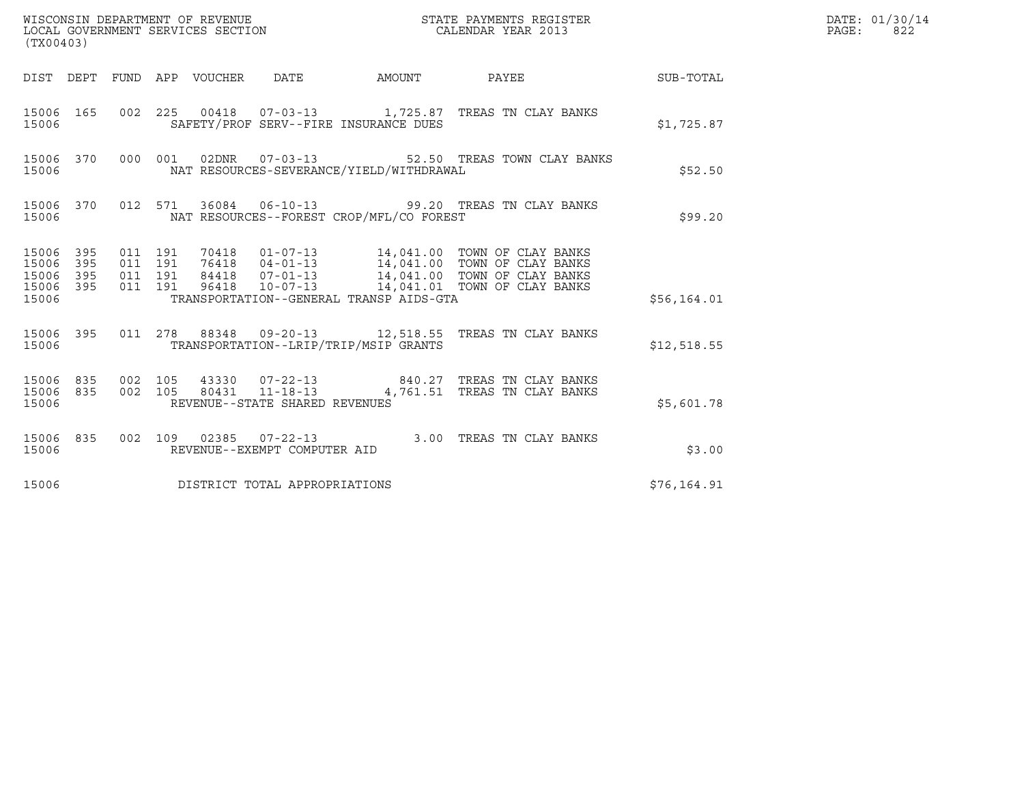| (TX00403)                                             |                        |                    |                    |                                |                                          |                                                                                                |             | DATE: 01/30/14<br>PAGE:<br>822 |
|-------------------------------------------------------|------------------------|--------------------|--------------------|--------------------------------|------------------------------------------|------------------------------------------------------------------------------------------------|-------------|--------------------------------|
|                                                       |                        |                    |                    |                                | DIST DEPT FUND APP VOUCHER DATE AMOUNT   | PAYEE SUB-TOTAL                                                                                |             |                                |
| 15006                                                 |                        |                    |                    |                                | SAFETY/PROF SERV--FIRE INSURANCE DUES    | 15006 165 002 225 00418 07-03-13 1,725.87 TREAS TN CLAY BANKS                                  | \$1,725.87  |                                |
| 15006                                                 |                        |                    |                    |                                | NAT RESOURCES-SEVERANCE/YIELD/WITHDRAWAL | 15006 370 000 001 02DNR 07-03-13 52.50 TREAS TOWN CLAY BANKS                                   | \$52.50     |                                |
| 15006                                                 |                        |                    |                    |                                | NAT RESOURCES--FOREST CROP/MFL/CO FOREST | 15006 370 012 571 36084 06-10-13 99.20 TREAS TN CLAY BANKS                                     | \$99.20     |                                |
| 15006 395<br>15006 395<br>15006<br>15006 395<br>15006 | 395                    | 011 191<br>011 191 | 011 191<br>011 191 |                                | TRANSPORTATION--GENERAL TRANSP AIDS-GTA  |                                                                                                | \$56,164.01 |                                |
| 15006                                                 |                        |                    |                    |                                | TRANSPORTATION--LRIP/TRIP/MSIP GRANTS    | 15006 395 011 278 88348 09-20-13 12,518.55 TREAS TN CLAY BANKS                                 | \$12,518.55 |                                |
| 15006                                                 | 15006 835<br>15006 835 | 002 105            | 002 105            | REVENUE--STATE SHARED REVENUES |                                          | 43330  07-22-13  840.27  TREAS TN CLAY BANKS<br>80431  11-18-13  4,761.51  TREAS TN CLAY BANKS | \$5,601.78  |                                |
| 15006 835<br>15006                                    |                        |                    |                    | REVENUE--EXEMPT COMPUTER AID   |                                          | 002 109 02385 07-22-13 3.00 TREAS TN CLAY BANKS                                                | \$3.00      |                                |
| 15006                                                 |                        |                    |                    | DISTRICT TOTAL APPROPRIATIONS  |                                          |                                                                                                | \$76,164.91 |                                |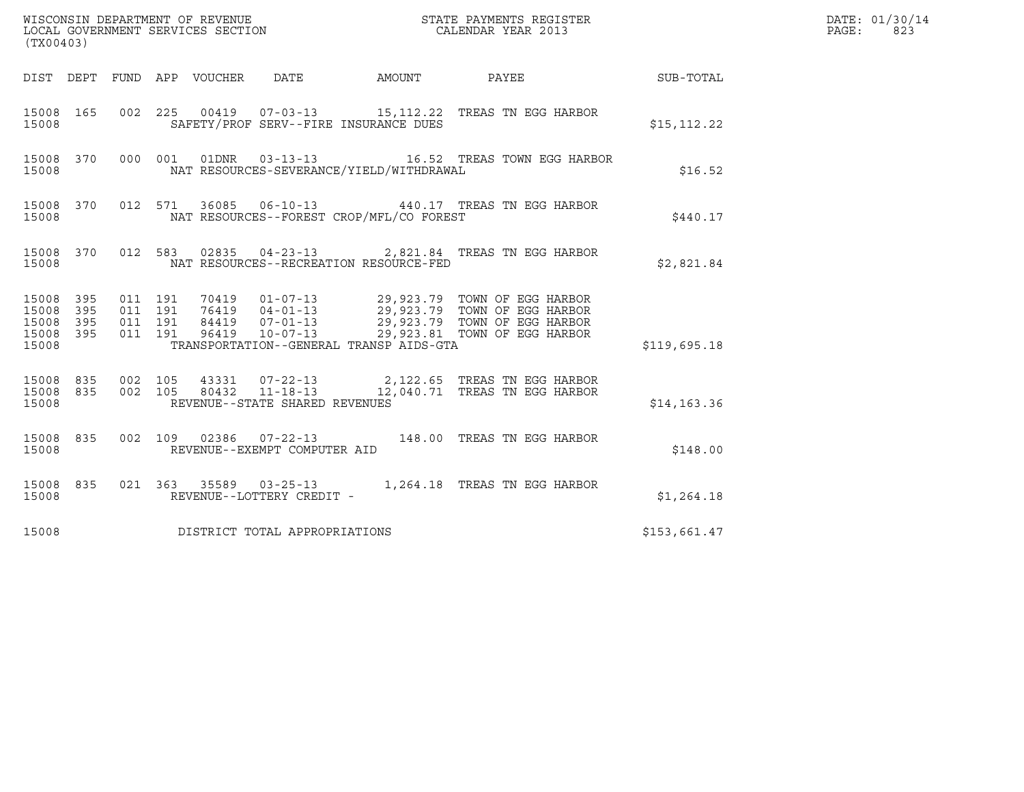| (TX00403)                                         |            |                               |         |                                 |                                |                                          |                                                                                                             |              | DATE: 01/30/14<br>PAGE:<br>823 |
|---------------------------------------------------|------------|-------------------------------|---------|---------------------------------|--------------------------------|------------------------------------------|-------------------------------------------------------------------------------------------------------------|--------------|--------------------------------|
|                                                   |            |                               |         | DIST DEPT FUND APP VOUCHER DATE |                                |                                          | AMOUNT PAYEE SUB-TOTAL                                                                                      |              |                                |
| 15008 165<br>15008                                |            |                               |         |                                 |                                | SAFETY/PROF SERV--FIRE INSURANCE DUES    | 002 225 00419 07-03-13 15,112.22 TREAS TN EGG HARBOR                                                        | \$15, 112.22 |                                |
| 15008 370<br>15008                                |            |                               |         |                                 |                                | NAT RESOURCES-SEVERANCE/YIELD/WITHDRAWAL | 000 001 01DNR 03-13-13 16.52 TREAS TOWN EGG HARBOR                                                          | \$16.52      |                                |
| 15008                                             |            |                               |         |                                 |                                | NAT RESOURCES--FOREST CROP/MFL/CO FOREST | 15008 370 012 571 36085 06-10-13 440.17 TREAS TN EGG HARBOR                                                 | \$440.17     |                                |
| 15008                                             |            |                               |         |                                 |                                | NAT RESOURCES--RECREATION RESOURCE-FED   | 15008 370 012 583 02835 04-23-13 2,821.84 TREAS TN EGG HARBOR                                               | \$2,821.84   |                                |
| 15008 395<br>15008<br>15008<br>15008 395<br>15008 | 395<br>395 | 011 191<br>011 191<br>011 191 | 011 191 |                                 |                                | TRANSPORTATION--GENERAL TRANSP AIDS-GTA  |                                                                                                             | \$119,695.18 |                                |
| 15008 835 002 105<br>15008 835<br>15008           |            |                               |         |                                 | REVENUE--STATE SHARED REVENUES |                                          | 002 105 43331 07-22-13 2,122.65 TREAS TN EGG HARBOR<br>002 105 80432 11-18-13 12,040.71 TREAS TN EGG HARBOR | \$14, 163.36 |                                |
| 15008 835<br>15008                                |            |                               |         |                                 | REVENUE--EXEMPT COMPUTER AID   |                                          | 002 109 02386 07-22-13 148.00 TREAS TN EGG HARBOR                                                           | \$148.00     |                                |
| 15008 835<br>15008                                |            |                               |         |                                 | REVENUE--LOTTERY CREDIT -      |                                          | 021 363 35589 03-25-13 1,264.18 TREAS TN EGG HARBOR                                                         | \$1,264.18   |                                |
| 15008                                             |            |                               |         |                                 | DISTRICT TOTAL APPROPRIATIONS  |                                          |                                                                                                             | \$153,661.47 |                                |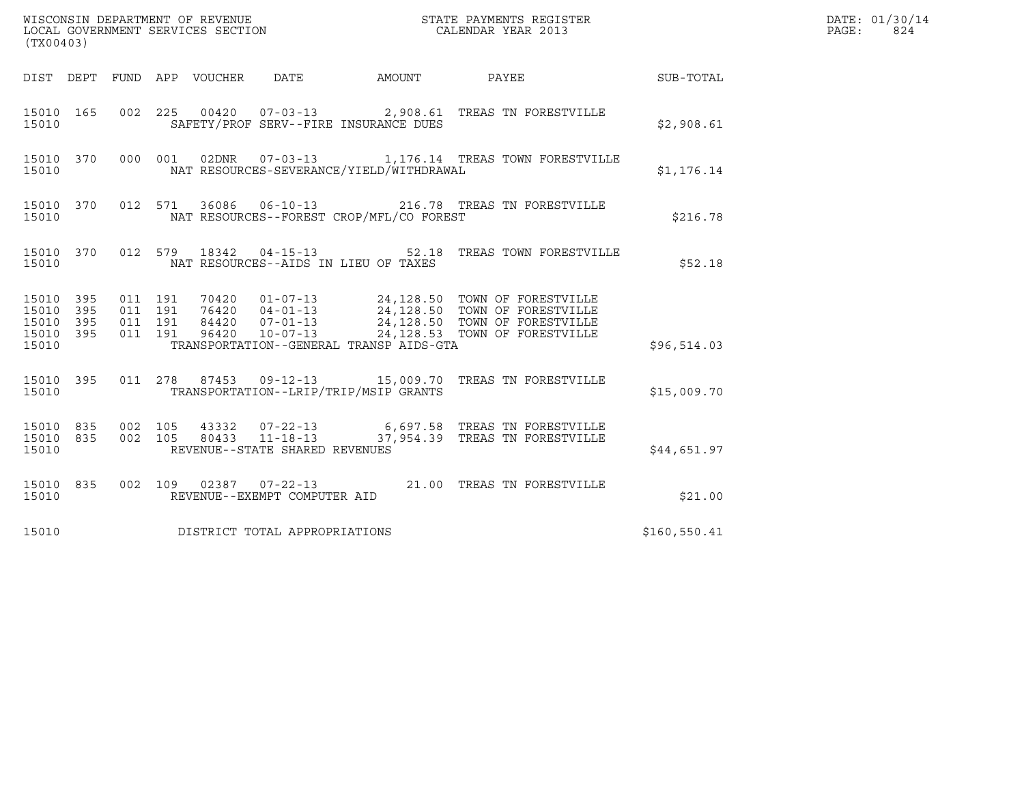| (TX00403)                                         |            |                                          |                                 |                                | DATE: 01/30/14<br>PAGE:<br>824           |                                                                                                                                                                                                          |               |  |
|---------------------------------------------------|------------|------------------------------------------|---------------------------------|--------------------------------|------------------------------------------|----------------------------------------------------------------------------------------------------------------------------------------------------------------------------------------------------------|---------------|--|
|                                                   |            |                                          | DIST DEPT FUND APP VOUCHER DATE |                                |                                          | AMOUNT PAYEE SUB-TOTAL                                                                                                                                                                                   |               |  |
| 15010 165<br>15010                                |            |                                          |                                 |                                | SAFETY/PROF SERV--FIRE INSURANCE DUES    | 002 225 00420 07-03-13 2,908.61 TREAS TN FORESTVILLE                                                                                                                                                     | \$2,908.61    |  |
| 15010 370<br>15010                                |            |                                          |                                 |                                | NAT RESOURCES-SEVERANCE/YIELD/WITHDRAWAL | 000 001 02DNR 07-03-13 1,176.14 TREAS TOWN FORESTVILLE                                                                                                                                                   | \$1,176.14    |  |
| 15010 370<br>15010                                |            |                                          |                                 |                                | NAT RESOURCES--FOREST CROP/MFL/CO FOREST | 012 571 36086 06-10-13 216.78 TREAS TN FORESTVILLE                                                                                                                                                       | \$216.78      |  |
| 15010                                             |            |                                          |                                 |                                | NAT RESOURCES--AIDS IN LIEU OF TAXES     | 15010 370 012 579 18342 04-15-13 52.18 TREAS TOWN FORESTVILLE                                                                                                                                            | \$52.18       |  |
| 15010 395<br>15010<br>15010<br>15010 395<br>15010 | 395<br>395 | 011 191<br>011 191<br>011 191<br>011 191 |                                 |                                | TRANSPORTATION--GENERAL TRANSP AIDS-GTA  | 70420  01-07-13  24,128.50  TOWN OF FORESTVILLE<br>76420  04-01-13  24,128.50  TOWN OF FORESTVILLE<br>84420  07-01-13  24,128.50  TOWN OF FORESTVILLE<br>96420  10-07-13  24,128.53  TOWN OF FORESTVILLE | \$96,514.03   |  |
| 15010                                             |            |                                          |                                 |                                | TRANSPORTATION--LRIP/TRIP/MSIP GRANTS    | 15010 395 011 278 87453 09-12-13 15,009.70 TREAS TN FORESTVILLE                                                                                                                                          | \$15,009.70   |  |
| 15010 835 002 105<br>15010 835<br>15010           |            | 002 105                                  |                                 | REVENUE--STATE SHARED REVENUES |                                          |                                                                                                                                                                                                          | \$44,651.97   |  |
| 15010 835<br>15010                                |            |                                          |                                 | REVENUE--EXEMPT COMPUTER AID   |                                          | 002 109 02387 07-22-13 21.00 TREAS TN FORESTVILLE                                                                                                                                                        | \$21.00       |  |
| 15010                                             |            |                                          |                                 | DISTRICT TOTAL APPROPRIATIONS  |                                          |                                                                                                                                                                                                          | \$160, 550.41 |  |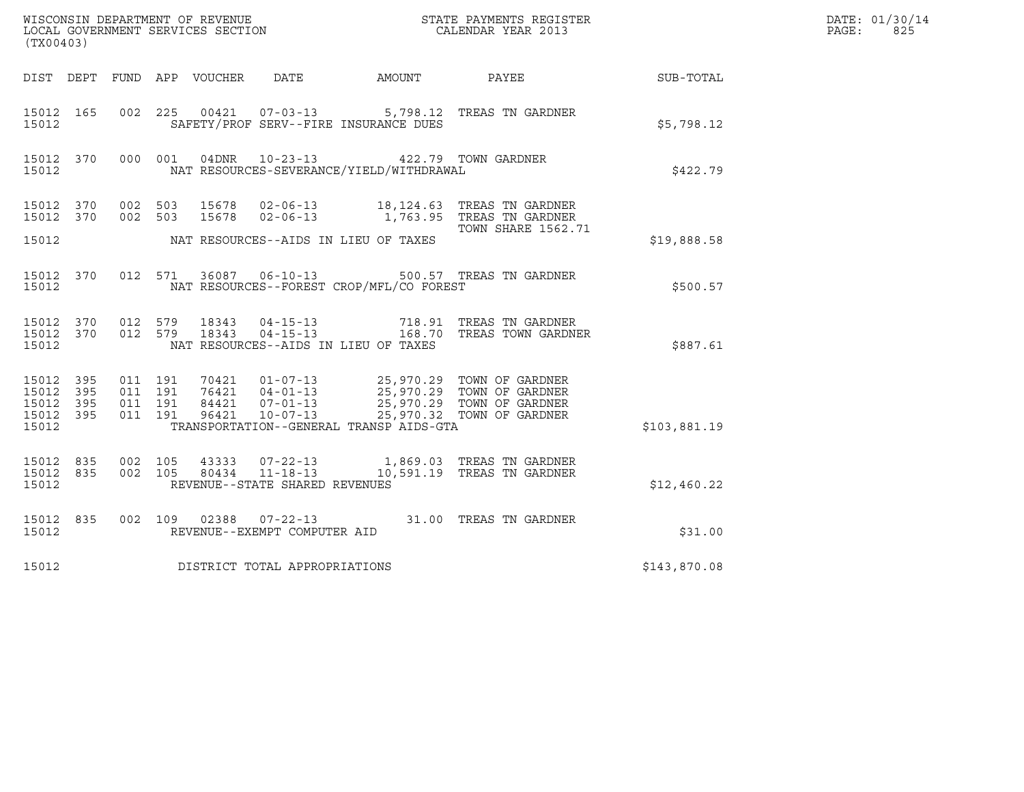| (TX00403)                                        |                                          |  | ${\tt WISCONSIM\ DEPARTMENT\ OF\ REVENUE}\qquad \qquad {\tt STATE\ PAYMENTS\ REGISTER} \\ {\tt LOCAL\ GOVERNMENT\ SERVICES\ SECTION}\qquad \qquad {\tt CALENDAR\ YEAR\ 2013}$ |                                                                                                  | DATE: 01/30/14<br>PAGE:<br>825                                                                                                                                                           |              |  |
|--------------------------------------------------|------------------------------------------|--|-------------------------------------------------------------------------------------------------------------------------------------------------------------------------------|--------------------------------------------------------------------------------------------------|------------------------------------------------------------------------------------------------------------------------------------------------------------------------------------------|--------------|--|
|                                                  |                                          |  |                                                                                                                                                                               |                                                                                                  | DIST DEPT FUND APP VOUCHER DATE AMOUNT PAYEE SUB-TOTAL                                                                                                                                   |              |  |
| 15012 165<br>15012                               |                                          |  |                                                                                                                                                                               | SAFETY/PROF SERV--FIRE INSURANCE DUES                                                            | 002 225 00421 07-03-13 5,798.12 TREAS TN GARDNER                                                                                                                                         | \$5,798.12   |  |
| 15012                                            |                                          |  |                                                                                                                                                                               | 15012 370 000 001 04DNR 10-23-13 422.79 TOWN GARDNER<br>NAT RESOURCES-SEVERANCE/YIELD/WITHDRAWAL |                                                                                                                                                                                          | \$422.79     |  |
|                                                  |                                          |  |                                                                                                                                                                               |                                                                                                  | 15012 370 002 503 15678 02-06-13 18,124.63 TREAS TN GARDNER<br>15012 370 002 503 15678 02-06-13 1,763.95 TREAS TN GARDNER<br><b>TOWN SHARE 1562.71</b>                                   |              |  |
| 15012                                            |                                          |  |                                                                                                                                                                               | NAT RESOURCES--AIDS IN LIEU OF TAXES                                                             |                                                                                                                                                                                          | \$19,888.58  |  |
| 15012                                            | 15012 370 012 571                        |  |                                                                                                                                                                               | NAT RESOURCES--FOREST CROP/MFL/CO FOREST                                                         | 36087  06-10-13  500.57  TREAS TN GARDNER                                                                                                                                                | \$500.57     |  |
| 15012                                            |                                          |  |                                                                                                                                                                               | NAT RESOURCES--AIDS IN LIEU OF TAXES                                                             | 15012 370 012 579 18343 04-15-13 718.91 TREAS TN GARDNER<br>15012 370 012 579 18343 04-15-13 168.70 TREAS TOWN GARDNER                                                                   | \$887.61     |  |
| 15012 395<br>15012 395<br>15012 395<br>15012 395 | 011 191<br>011 191<br>011 191<br>011 191 |  |                                                                                                                                                                               |                                                                                                  | 70421  01-07-13  25,970.29  TOWN OF GARDNER<br>76421  04-01-13  25,970.29  TOWN OF GARDNER<br>84421  07-01-13  25,970.29  TOWN OF GARDNER<br>96421  10-07-13  25,970.32  TOWN OF GARDNER |              |  |
| 15012                                            |                                          |  |                                                                                                                                                                               | TRANSPORTATION--GENERAL TRANSP AIDS-GTA                                                          |                                                                                                                                                                                          | \$103,881.19 |  |
| 15012 835<br>15012 835<br>15012                  | 002 105<br>002 105                       |  | REVENUE--STATE SHARED REVENUES                                                                                                                                                |                                                                                                  | 43333  07-22-13  1,869.03  TREAS TN GARDNER<br>80434  11-18-13  10,591.19  TREAS TN GARDNER                                                                                              | \$12,460.22  |  |
| 15012 835<br>15012                               |                                          |  | REVENUE--EXEMPT COMPUTER AID                                                                                                                                                  |                                                                                                  | 002 109 02388 07-22-13 31.00 TREAS TN GARDNER                                                                                                                                            | \$31.00      |  |
| 15012                                            |                                          |  | DISTRICT TOTAL APPROPRIATIONS                                                                                                                                                 |                                                                                                  |                                                                                                                                                                                          | \$143,870.08 |  |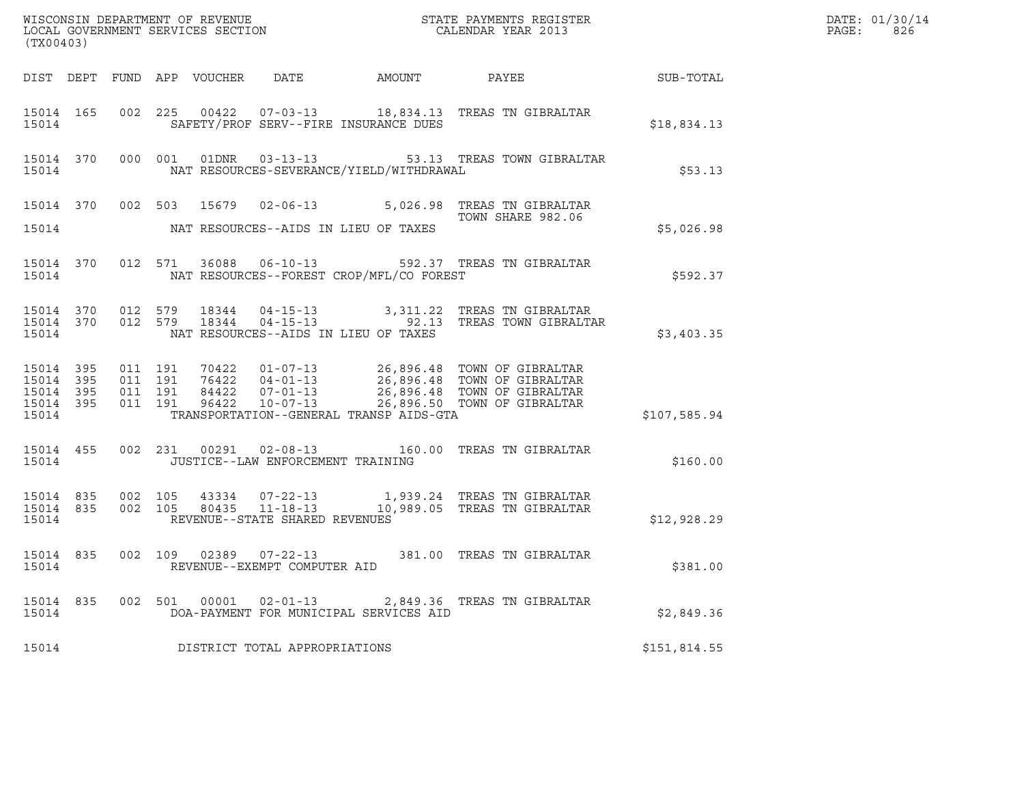| (TX00403) |  |  |                                      |                                          |                                                                                                                                                                                                                                         |              | DATE: 01/30/14<br>PAGE:<br>826 |
|-----------|--|--|--------------------------------------|------------------------------------------|-----------------------------------------------------------------------------------------------------------------------------------------------------------------------------------------------------------------------------------------|--------------|--------------------------------|
|           |  |  |                                      |                                          |                                                                                                                                                                                                                                         |              |                                |
| 15014     |  |  |                                      | SAFETY/PROF SERV--FIRE INSURANCE DUES    | 15014 165 002 225 00422 07-03-13 18,834.13 TREAS TN GIBRALTAR                                                                                                                                                                           | \$18,834.13  |                                |
| 15014     |  |  |                                      | NAT RESOURCES-SEVERANCE/YIELD/WITHDRAWAL | 15014 370 000 001 01DNR 03-13-13 53.13 TREAS TOWN GIBRALTAR                                                                                                                                                                             | \$53.13      |                                |
|           |  |  |                                      |                                          | 15014 370 002 503 15679 02-06-13 5,026.98 TREAS TN GIBRALTAR<br>TOWN SHARE 982.06                                                                                                                                                       |              |                                |
| 15014     |  |  |                                      | NAT RESOURCES--AIDS IN LIEU OF TAXES     |                                                                                                                                                                                                                                         | \$5,026.98   |                                |
|           |  |  |                                      |                                          | 15014 370 012 571 36088 06-10-13 592.37 TREAS TN GIBRALTAR                                                                                                                                                                              | \$592.37     |                                |
| 15014     |  |  | NAT RESOURCES--AIDS IN LIEU OF TAXES |                                          | 15014 370 012 579 18344 04-15-13     3,311.22 TREAS TN-GIBRALTAR<br>15014 370 012 579 18344 04-15-13     92.13 TREAS TOWN-GIBRALTAR                                                                                                     | \$3,403.35   |                                |
| 15014     |  |  |                                      | TRANSPORTATION--GENERAL TRANSP AIDS-GTA  | 15014 395 011 191 70422 01-07-13 26,896.48 TOWN OF GIBRALTAR<br>15014 395 011 191 76422 04-01-13 26,896.48 TOWN OF GIBRALTAR<br>15014 395 011 191 84422 07-01-13 26,896.48 TOWN OF GIBRALTAR<br>15014 395 011 191 96422 10-07-13 26,896 | \$107,585.94 |                                |
|           |  |  |                                      |                                          | 15014 455 002 231 00291 02-08-13 160.00 TREAS TN GIBRALTAR                                                                                                                                                                              | \$160.00     |                                |
| 15014     |  |  | REVENUE--STATE SHARED REVENUES       |                                          | 15014 835 002 105 43334 07-22-13 1,939.24 TREASTNGIBRALTAR<br>15014 835 002 105 80435 11-18-13 10,989.05 TREASTNGIBRALTAR                                                                                                               | \$12,928.29  |                                |
| 15014     |  |  | REVENUE--EXEMPT COMPUTER AID         |                                          | 15014 835 002 109 02389 07-22-13 381.00 TREAS TN GIBRALTAR                                                                                                                                                                              | \$381.00     |                                |
| 15014     |  |  |                                      | DOA-PAYMENT FOR MUNICIPAL SERVICES AID   | 15014 835 002 501 00001 02-01-13 2,849.36 TREAS TN GIBRALTAR                                                                                                                                                                            | \$2,849.36   |                                |
| 15014     |  |  | DISTRICT TOTAL APPROPRIATIONS        |                                          |                                                                                                                                                                                                                                         | \$151,814.55 |                                |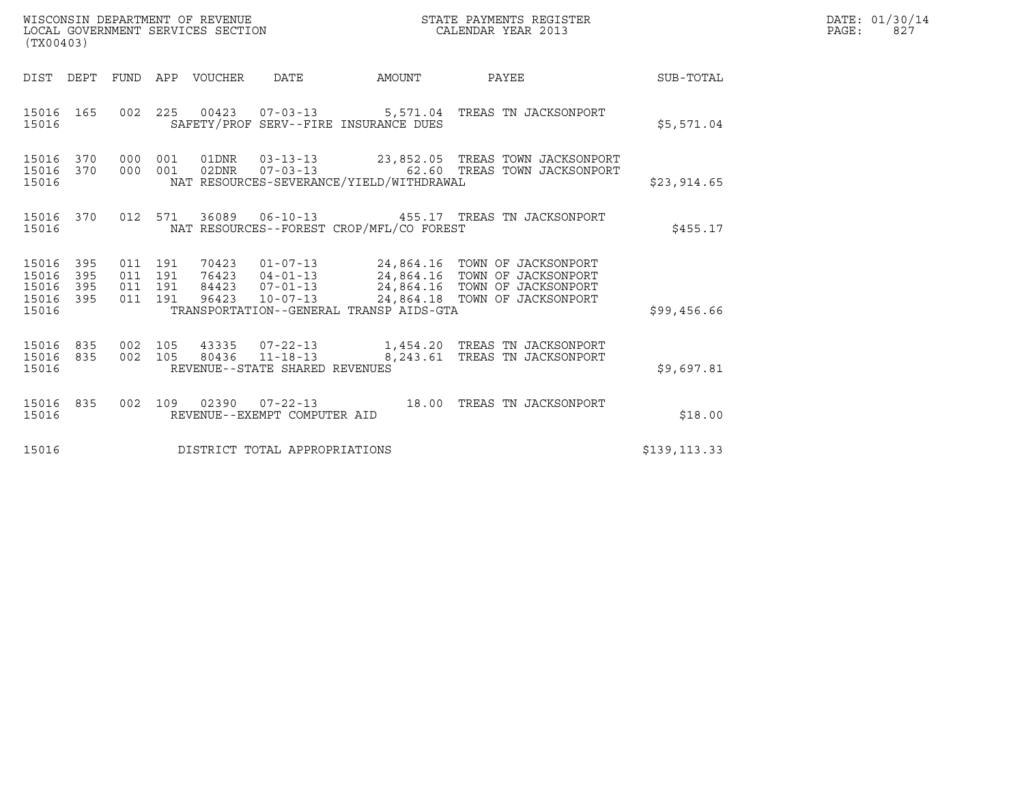| WISCONSIN DEPARTMENT OF REVENUE<br>LOCAL GOVERNMENT SERVICES SECTION<br>(TX00403)                                 |                                                                                                                                                                                                                             | STATE PAYMENTS REGISTER<br>CALENDAR YEAR 2013                   |              | DATE: 01/30/14<br>PAGE:<br>827 |
|-------------------------------------------------------------------------------------------------------------------|-----------------------------------------------------------------------------------------------------------------------------------------------------------------------------------------------------------------------------|-----------------------------------------------------------------|--------------|--------------------------------|
| DEPT<br>FUND<br>DIST                                                                                              | APP VOUCHER<br>DATE<br>AMOUNT                                                                                                                                                                                               | PAYEE                                                           | SUB-TOTAL    |                                |
| 002 225<br>15016<br>165<br>15016                                                                                  | 00423  07-03-13  5,571.04  TREAS TN JACKSONPORT<br>SAFETY/PROF SERV--FIRE INSURANCE DUES                                                                                                                                    |                                                                 | \$5,571.04   |                                |
| 370<br>000 001<br>15016<br>15016<br>370<br>000 001<br>15016                                                       | 01DNR<br>02DNR<br>$07 - 03 - 13$<br>NAT RESOURCES-SEVERANCE/YIELD/WITHDRAWAL                                                                                                                                                | 62.60 TREAS TOWN JACKSONPORT                                    | \$23,914.65  |                                |
| 370<br>012 571<br>15016<br>15016                                                                                  | 36089  06-10-13  455.17  TREAS TN JACKSONPORT<br>NAT RESOURCES--FOREST CROP/MFL/CO FOREST                                                                                                                                   |                                                                 | \$455.17     |                                |
| 15016<br>395<br>011 191<br>15016<br>395<br>011 191<br>395<br>191<br>15016<br>011<br>15016 395<br>011 191<br>15016 | 70423  01-07-13  24,864.16  TOWN OF JACKSONPORT<br>76423  04-01-13  24,864.16  TOWN OF JACKSONPORT<br>84423<br>07-01-13 24,864.16 TOWN OF JACKSONPORT<br>96423<br>$10 - 07 - 13$<br>TRANSPORTATION--GENERAL TRANSP AIDS-GTA | 24,864.18 TOWN OF JACKSONPORT                                   | \$99,456.66  |                                |
| 835<br>105<br>15016<br>002<br>15016 835<br>002 105<br>15016                                                       | 43335<br>$07 - 22 - 13$<br>80436 11-18-13<br>REVENUE--STATE SHARED REVENUES                                                                                                                                                 | 1,454.20 TREAS TN JACKSONPORT<br>8, 243.61 TREAS TN JACKSONPORT | \$9,697.81   |                                |
| 835<br>002 109<br>15016<br>15016                                                                                  | 02390  07-22-13  18.00 TREAS TN JACKSONPORT<br>REVENUE--EXEMPT COMPUTER AID                                                                                                                                                 |                                                                 | \$18.00      |                                |
| 15016                                                                                                             | DISTRICT TOTAL APPROPRIATIONS                                                                                                                                                                                               |                                                                 | \$139,113.33 |                                |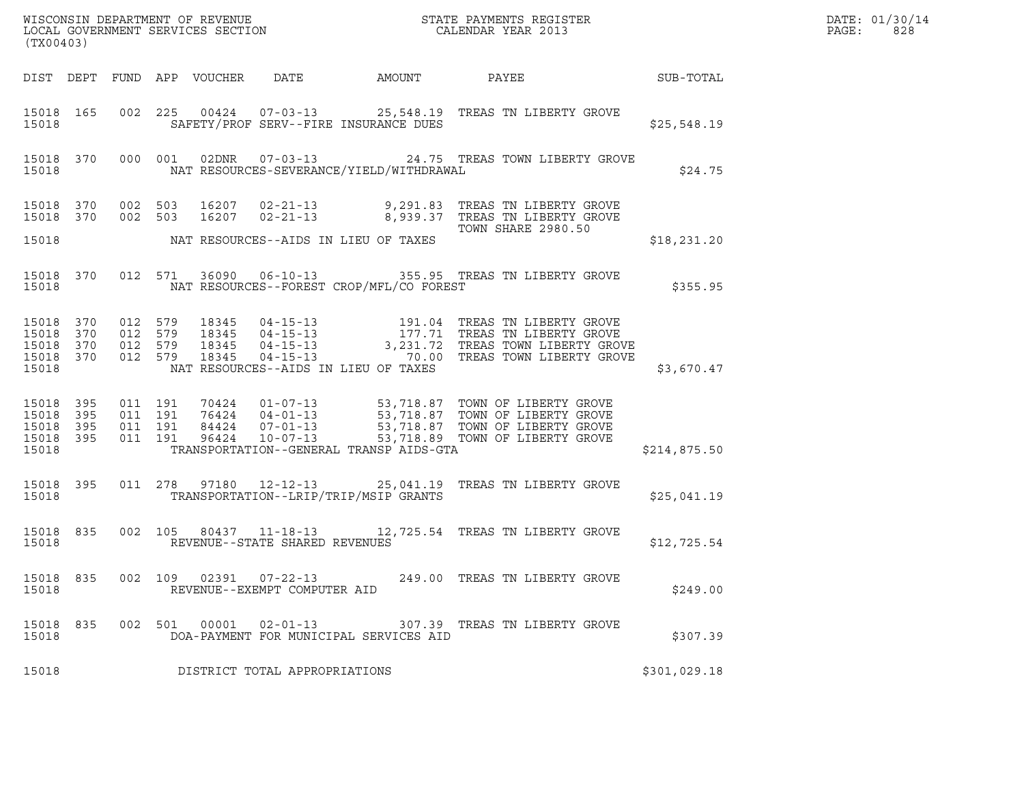| (TX00403)                                     |                               |                                          |         |                                 |                                                |                                          | WISCONSIN DEPARTMENT OF REVENUE ${\small \begin{array}{ll} \text{MISCONS} \\\text{LOCAL GOVERNMENT} \\\text{SERMENT} \\\text{SERVICES} \\\text{SECTION} \\\end{array} \end{array}}$                                               |              | DATE: 01/30/14<br>PAGE:<br>828 |
|-----------------------------------------------|-------------------------------|------------------------------------------|---------|---------------------------------|------------------------------------------------|------------------------------------------|-----------------------------------------------------------------------------------------------------------------------------------------------------------------------------------------------------------------------------------|--------------|--------------------------------|
|                                               |                               |                                          |         | DIST DEPT FUND APP VOUCHER DATE |                                                | AMOUNT                                   | PAYEE SUB-TOTAL                                                                                                                                                                                                                   |              |                                |
| 15018                                         | 15018 165                     |                                          |         |                                 |                                                | SAFETY/PROF SERV--FIRE INSURANCE DUES    | 002  225  00424  07-03-13  25,548.19  TREAS  TN LIBERTY GROVE                                                                                                                                                                     | \$25,548.19  |                                |
| 15018                                         | 15018 370                     |                                          |         |                                 |                                                | NAT RESOURCES-SEVERANCE/YIELD/WITHDRAWAL | 000 001 02DNR 07-03-13 24.75 TREAS TOWN LIBERTY GROVE                                                                                                                                                                             | \$24.75      |                                |
|                                               |                               |                                          |         |                                 |                                                |                                          | 15018 370 002 503 16207 02-21-13 9,291.83 TREAS TN LIBERTY GROVE 15018 370 002 503 16207 02-21-13 8,939.37 TREAS TN LIBERTY GROVE<br><b>TOWN SHARE 2980.50</b>                                                                    |              |                                |
| 15018                                         |                               |                                          |         |                                 |                                                | NAT RESOURCES--AIDS IN LIEU OF TAXES     |                                                                                                                                                                                                                                   | \$18,231.20  |                                |
| 15018                                         |                               |                                          |         |                                 |                                                | NAT RESOURCES--FOREST CROP/MFL/CO FOREST | 15018 370 012 571 36090 06-10-13 355.95 TREAS TN LIBERTY GROVE                                                                                                                                                                    | \$355.95     |                                |
| 15018<br>15018 370<br>15018                   | 15018 370<br>370<br>15018 370 |                                          |         |                                 |                                                | NAT RESOURCES--AIDS IN LIEU OF TAXES     | 012 579 18345 04-15-13 191.04 TREAS TN LIBERTY GROVE<br>012 579 18345 04-15-13 177.71 TREAS TN LIBERTY GROVE<br>012 579 18345 04-15-13 3,231.72 TREAS TOWN LIBERTY GROVE<br>012 579 18345 04-15-13 70.00 TREAS TOWN LIBERTY GROVE | \$3,670.47   |                                |
| 15018<br>15018<br>15018<br>15018 395<br>15018 | 395<br>395<br>395             | 011 191<br>011 191<br>011 191<br>011 191 |         |                                 |                                                | TRANSPORTATION--GENERAL TRANSP AIDS-GTA  | 70424   01-07-13   53,718.87   TOWN OF LIBERTY GROVE<br>76424   04-01-13   53,718.87   TOWN OF LIBERTY GROVE<br>84424   07-01-13   53,718.87   TOWN OF LIBERTY GROVE<br>96424   10-07-13   53,718.89   TOWN OF LIBERTY GROVE      | \$214,875.50 |                                |
| 15018                                         | 15018 395                     |                                          |         |                                 |                                                | TRANSPORTATION--LRIP/TRIP/MSIP GRANTS    | 011  278  97180  12-12-13  25,041.19  TREAS TN LIBERTY GROVE                                                                                                                                                                      | \$25,041.19  |                                |
| 15018                                         | 15018 835                     |                                          |         |                                 | REVENUE--STATE SHARED REVENUES                 |                                          | 002 105 80437 11-18-13 12,725.54 TREAS TN LIBERTY GROVE                                                                                                                                                                           | \$12,725.54  |                                |
| 15018 835<br>15018                            |                               |                                          | 002 109 | 02391                           | $07 - 22 - 13$<br>REVENUE--EXEMPT COMPUTER AID |                                          | 249.00 TREAS TN LIBERTY GROVE                                                                                                                                                                                                     | \$249.00     |                                |
| 15018 835<br>15018                            |                               |                                          |         | 002 501 00001                   | $02 - 01 - 13$                                 | DOA-PAYMENT FOR MUNICIPAL SERVICES AID   | 307.39 TREAS TN LIBERTY GROVE                                                                                                                                                                                                     | \$307.39     |                                |
| 15018                                         |                               |                                          |         |                                 | DISTRICT TOTAL APPROPRIATIONS                  |                                          |                                                                                                                                                                                                                                   | \$301,029.18 |                                |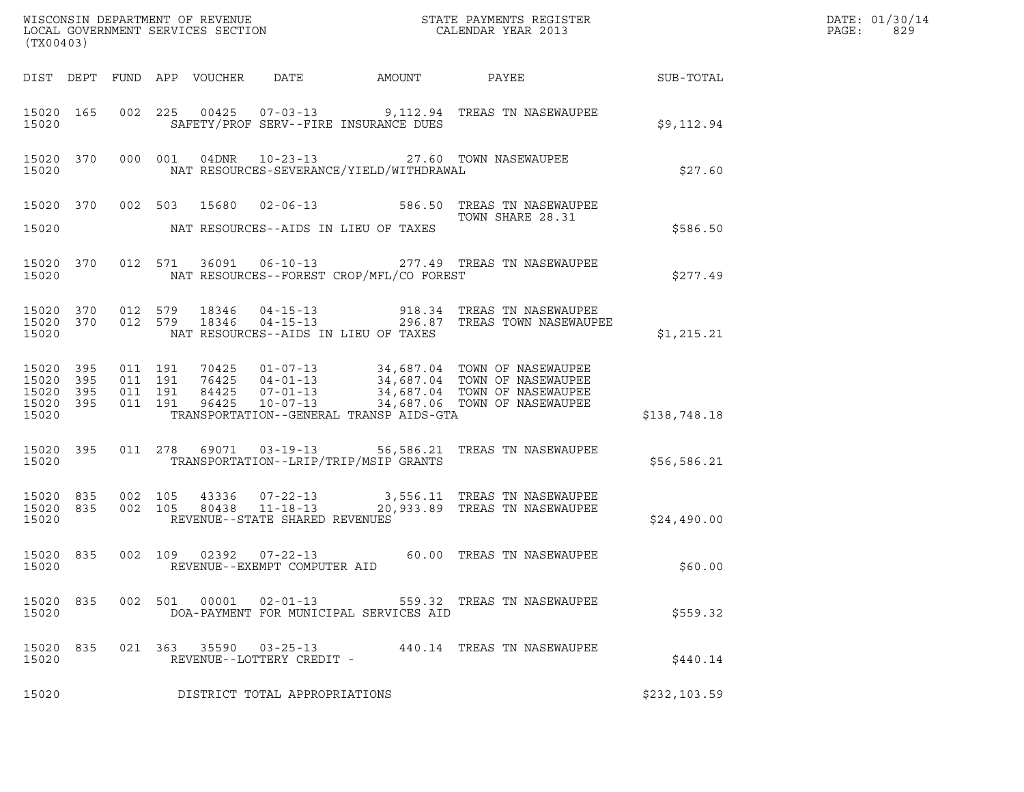| (TX00403)                                             |     |                                          |                                 |                                                     |                                          |                                                                                                                                                                                                      |              | DATE: 01/30/14<br>$\mathtt{PAGE}$ :<br>829 |
|-------------------------------------------------------|-----|------------------------------------------|---------------------------------|-----------------------------------------------------|------------------------------------------|------------------------------------------------------------------------------------------------------------------------------------------------------------------------------------------------------|--------------|--------------------------------------------|
|                                                       |     |                                          | DIST DEPT FUND APP VOUCHER DATE |                                                     |                                          | AMOUNT PAYEE SUB-TOTAL                                                                                                                                                                               |              |                                            |
| 15020 165<br>15020                                    |     |                                          |                                 |                                                     | SAFETY/PROF SERV--FIRE INSURANCE DUES    | 002 225 00425 07-03-13 9,112.94 TREAS TN NASEWAUPEE                                                                                                                                                  | \$9,112.94   |                                            |
| 15020 370<br>15020                                    |     |                                          |                                 |                                                     | NAT RESOURCES-SEVERANCE/YIELD/WITHDRAWAL | 000 001 04DNR 10-23-13 27.60 TOWN NASEWAUPEE                                                                                                                                                         | \$27.60      |                                            |
| 15020                                                 |     |                                          |                                 |                                                     | NAT RESOURCES--AIDS IN LIEU OF TAXES     | 15020 370 002 503 15680 02-06-13 586.50 TREAS TN NASEWAUPEE<br>TOWN SHARE 28.31                                                                                                                      | \$586.50     |                                            |
| 15020 370<br>15020                                    |     |                                          |                                 |                                                     | NAT RESOURCES--FOREST CROP/MFL/CO FOREST | 012 571 36091 06-10-13 277.49 TREAS TN NASEWAUPEE                                                                                                                                                    | \$277.49     |                                            |
| 15020                                                 |     |                                          |                                 |                                                     | NAT RESOURCES--AIDS IN LIEU OF TAXES     | $15020$ 370 012 579 18346 04-15-13 918.34 TREAS TN NASEWAUPEE<br>15020 370 012 579 18346 04-15-13 296.87 TREAS TOWN NASEWAUPEE                                                                       | \$1,215.21   |                                            |
| 15020 395<br>15020<br>15020 395<br>15020 395<br>15020 | 395 | 011 191<br>011 191<br>011 191<br>011 191 |                                 |                                                     | TRANSPORTATION--GENERAL TRANSP AIDS-GTA  | 70425  01-07-13  34,687.04  TOWN OF NASEWAUPEE<br>76425  04-01-13  34,687.04  TOWN OF NASEWAUPEE<br>84425  07-01-13  34,687.04  TOWN OF NASEWAUPEE<br>96425  10-07-13  34,687.06  TOWN OF NASEWAUPEE | \$138,748.18 |                                            |
| 15020 395<br>15020                                    |     |                                          |                                 |                                                     | TRANSPORTATION--LRIP/TRIP/MSIP GRANTS    | 011  278  69071  03-19-13  56,586.21  TREAS TN NASEWAUPEE                                                                                                                                            | \$56,586.21  |                                            |
| 15020                                                 |     |                                          |                                 | REVENUE--STATE SHARED REVENUES                      |                                          | $15020$ 835 002 105 43336 07-22-13 3,556.11 TREAS TN NASEWAUPEE<br>15020 835 002 105 80438 11-18-13 20,933.89 TREAS TN NASEWAUPEE                                                                    | \$24,490.00  |                                            |
| 15020 835<br>15020                                    |     |                                          |                                 | REVENUE--EXEMPT COMPUTER AID                        |                                          | 002 109 02392 07-22-13 60.00 TREAS TN NASEWAUPEE                                                                                                                                                     | \$60.00      |                                            |
| 15020 835<br>15020                                    |     |                                          |                                 |                                                     | DOA-PAYMENT FOR MUNICIPAL SERVICES AID   | 002 501 00001 02-01-13 559.32 TREAS TN NASEWAUPEE                                                                                                                                                    | \$559.32     |                                            |
| 15020 835<br>15020                                    |     |                                          |                                 | 021 363 35590 03-25-13<br>REVENUE--LOTTERY CREDIT - |                                          | 440.14 TREAS TN NASEWAUPEE                                                                                                                                                                           | \$440.14     |                                            |
| 15020                                                 |     |                                          |                                 | DISTRICT TOTAL APPROPRIATIONS                       |                                          |                                                                                                                                                                                                      | \$232,103.59 |                                            |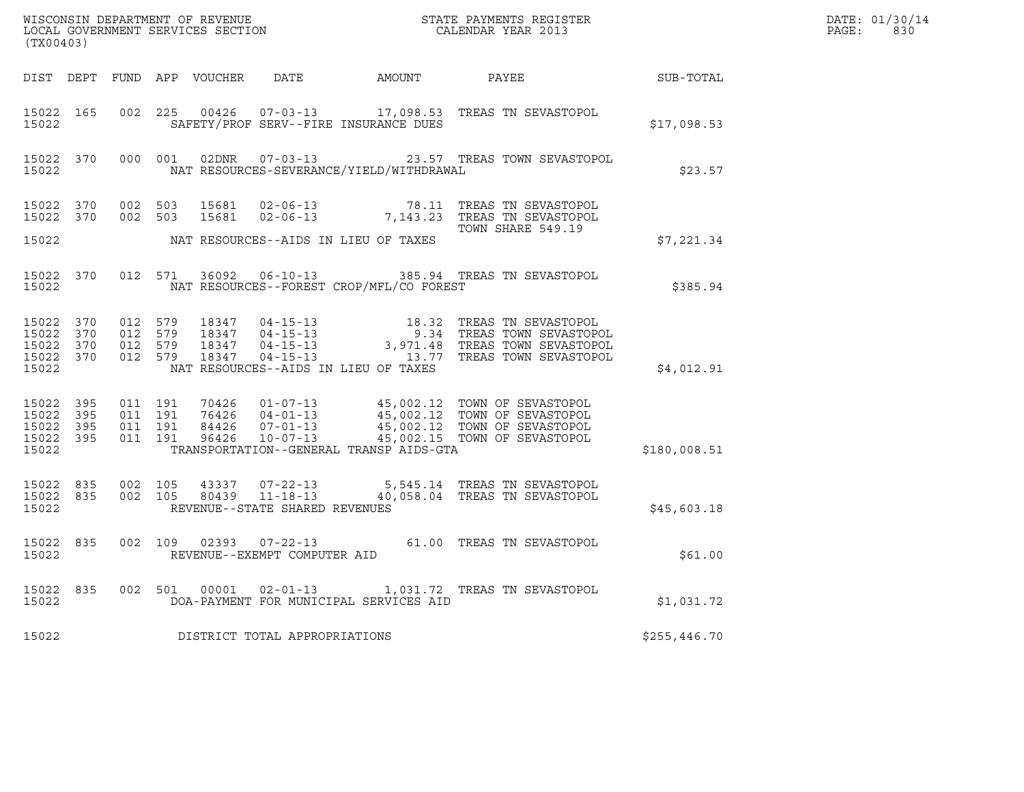| (TX00403)                   |                               |  |                                       |                                                | $\tt WISCONSIM DEPARTMENT OF REVENUE$ $\tt WISCONMIN SERS THE RAYMENT S REGISTERLOCAL GOVERNMENT SERVICES SECTION CALENDAR YEAR 2013$                                                                                                                                                                                                            |              | DATE: 01/30/14<br>$\mathtt{PAGE:}$<br>830 |
|-----------------------------|-------------------------------|--|---------------------------------------|------------------------------------------------|--------------------------------------------------------------------------------------------------------------------------------------------------------------------------------------------------------------------------------------------------------------------------------------------------------------------------------------------------|--------------|-------------------------------------------|
|                             |                               |  |                                       |                                                | DIST DEPT FUND APP VOUCHER DATE AMOUNT PAYEE SUB-TOTAL                                                                                                                                                                                                                                                                                           |              |                                           |
| 15022                       |                               |  | SAFETY/PROF SERV--FIRE INSURANCE DUES |                                                | 15022 165 002 225 00426 07-03-13 17,098.53 TREAS TN SEVASTOPOL                                                                                                                                                                                                                                                                                   | \$17,098.53  |                                           |
| 15022                       |                               |  |                                       | NAT RESOURCES-SEVERANCE/YIELD/WITHDRAWAL       | 15022 370 000 001 02DNR 07-03-13 23.57 TREAS TOWN SEVASTOPOL                                                                                                                                                                                                                                                                                     | \$23.57      |                                           |
|                             |                               |  |                                       |                                                | 15022 370 002 503 15681 02-06-13 78.11 TREAS TN SEVASTOPOL<br>15022 370 002 503 15681 02-06-13 7,143.23 TREAS TN SEVASTOPOL                                                                                                                                                                                                                      |              |                                           |
| 15022                       |                               |  | NAT RESOURCES--AIDS IN LIEU OF TAXES  |                                                | TOWN SHARE 549.19                                                                                                                                                                                                                                                                                                                                | \$7,221.34   |                                           |
|                             |                               |  |                                       | 15022 NAT RESOURCES--FOREST CROP/MFL/CO FOREST | 15022 370 012 571 36092 06-10-13 385.94 TREAS TN SEVASTOPOL                                                                                                                                                                                                                                                                                      | \$385.94     |                                           |
| 15022                       |                               |  | NAT RESOURCES--AIDS IN LIEU OF TAXES  |                                                | $\begin{array}{cccccccc} 15022 & 370 & 012 & 579 & 18347 & 04-15-13 & & 18.32 & \text{TREAS TN SEVASTOPOL} \\ 15022 & 370 & 012 & 579 & 18347 & 04-15-13 & & 9.34 & \text{TREAS TOWN SEVASTOPOL} \\ 15022 & 370 & 012 & 579 & 18347 & 04-15-13 & & 3,971.48 & \text{TREAS TOWN SEVASTOPOL} \\ 15022 & 370 & 012 & 579 & 18$                      | \$4,012.91   |                                           |
| 15022 395<br>15022<br>15022 | 395<br>15022 395<br>15022 395 |  |                                       | TRANSPORTATION--GENERAL TRANSP AIDS-GTA        | $\begin{array}{cccc} 011 & 191 & 70426 & 01\texttt{-}07\texttt{-}13 \\ 011 & 191 & 76426 & 04\texttt{-}01\texttt{-}13 \\ 011 & 191 & 84426 & 07\texttt{-}01\texttt{-}13 \\ 011 & 191 & 84426 & 07\texttt{-}01\texttt{-}13 \\ 011 & 191 & 96426 & 10\texttt{-}07\texttt{-}13 \\ \end{array} \qquad \qquad \begin{array}{c} 45\, ,\, 002\, .\, 12$ | \$180,008.51 |                                           |
| 15022 835<br>15022          |                               |  | REVENUE--STATE SHARED REVENUES        |                                                | $15022 835 002 105 43337 07-22-13 5,545.14 TREAS TN SEVASTOPOL15022 835 002 105 80439 11-18-13 40,058.04 TREAS TN SEVASTOPOL$                                                                                                                                                                                                                    | \$45,603.18  |                                           |
|                             |                               |  | 15022 REVENUE--EXEMPT COMPUTER AID    |                                                | 15022 835 002 109 02393 07-22-13 61.00 TREAS TN SEVASTOPOL                                                                                                                                                                                                                                                                                       | \$61.00      |                                           |
| 15022                       |                               |  |                                       | DOA-PAYMENT FOR MUNICIPAL SERVICES AID         | 15022 835 002 501 00001 02-01-13 1,031.72 TREAS TN SEVASTOPOL                                                                                                                                                                                                                                                                                    | \$1,031.72   |                                           |
| 15022                       |                               |  | DISTRICT TOTAL APPROPRIATIONS         |                                                |                                                                                                                                                                                                                                                                                                                                                  | \$255,446.70 |                                           |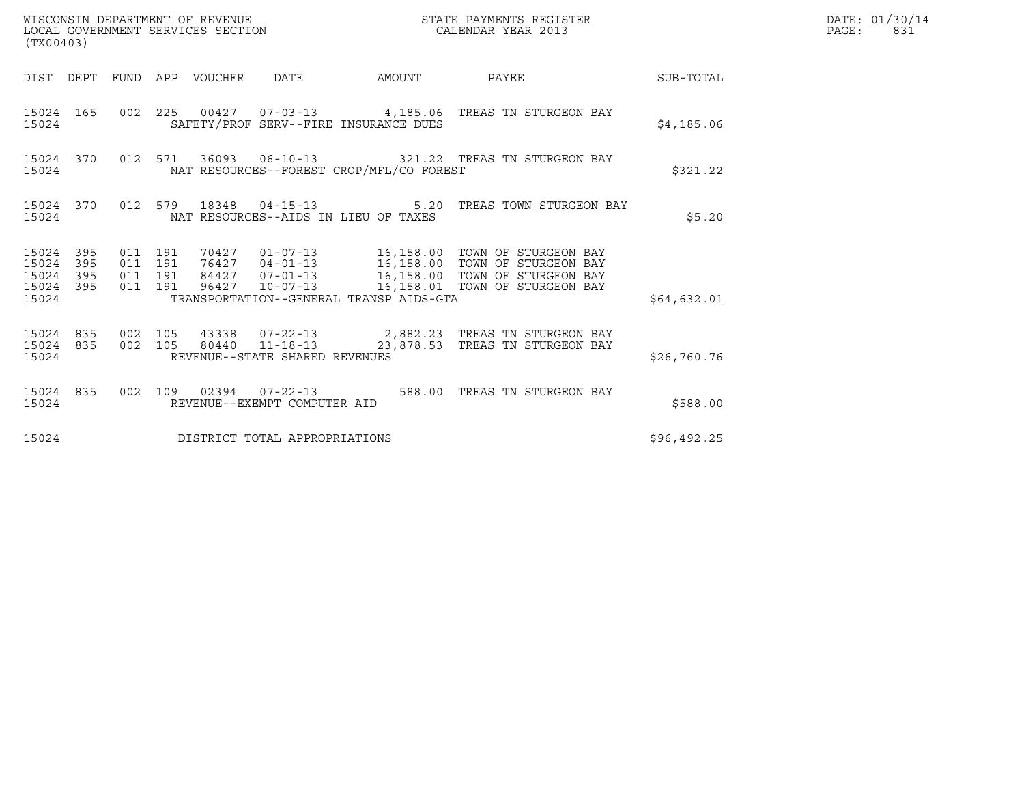| (TX00403)                                                 |           |                               |         | WISCONSIN DEPARTMENT OF REVENUE<br>LOCAL GOVERNMENT SERVICES SECTION |                                          | STATE PAYMENTS REGISTER<br>CALENDAR YEAR 2013                                                                                                                                                             |             | DATE: 01/30/14<br>$\mathtt{PAGE:}$<br>831 |
|-----------------------------------------------------------|-----------|-------------------------------|---------|----------------------------------------------------------------------|------------------------------------------|-----------------------------------------------------------------------------------------------------------------------------------------------------------------------------------------------------------|-------------|-------------------------------------------|
|                                                           |           |                               |         |                                                                      |                                          | DIST DEPT FUND APP VOUCHER DATE AMOUNT PAYEE TO SUB-TOTAL                                                                                                                                                 |             |                                           |
| 15024                                                     |           |                               |         |                                                                      | SAFETY/PROF SERV--FIRE INSURANCE DUES    | 15024 165 002 225 00427 07-03-13 4,185.06 TREAS TN STURGEON BAY                                                                                                                                           | \$4,185.06  |                                           |
| 15024                                                     |           |                               |         |                                                                      | NAT RESOURCES--FOREST CROP/MFL/CO FOREST | 15024 370 012 571 36093 06-10-13 321.22 TREAS TN STURGEON BAY                                                                                                                                             | \$321.22    |                                           |
| 15024                                                     |           |                               |         |                                                                      | NAT RESOURCES--AIDS IN LIEU OF TAXES     | 15024 370 012 579 18348 04-15-13 5.20 TREAS TOWN STURGEON BAY                                                                                                                                             | \$5.20      |                                           |
| 15024 395<br>15024 395<br>15024 395<br>15024 395<br>15024 |           | 011 191<br>011 191<br>011 191 | 011 191 |                                                                      | TRANSPORTATION--GENERAL TRANSP AIDS-GTA  | 70427  01-07-13  16,158.00 TOWN OF STURGEON BAY<br>76427  04-01-13  16,158.00 TOWN OF STURGEON BAY<br>84427  07-01-13  16,158.00 TOWN OF STURGEON BAY<br>96427  10-07-13  16,158.01  TOWN OF STURGEON BAY | \$64,632.01 |                                           |
| 15024                                                     | 15024 835 | 15024 835 002 105             |         | REVENUE--STATE SHARED REVENUES                                       |                                          | 43338  07-22-13  2,882.23  TREAS TN STURGEON BAY<br>002 105 80440 11-18-13 23,878.53 TREAS TN STURGEON BAY                                                                                                | \$26,760.76 |                                           |
| 15024                                                     |           |                               |         | REVENUE--EXEMPT COMPUTER AID                                         |                                          | 15024 835 002 109 02394 07-22-13 588.00 TREAS TN STURGEON BAY                                                                                                                                             | \$588.00    |                                           |
| 15024                                                     |           |                               |         | DISTRICT TOTAL APPROPRIATIONS                                        |                                          |                                                                                                                                                                                                           | \$96,492.25 |                                           |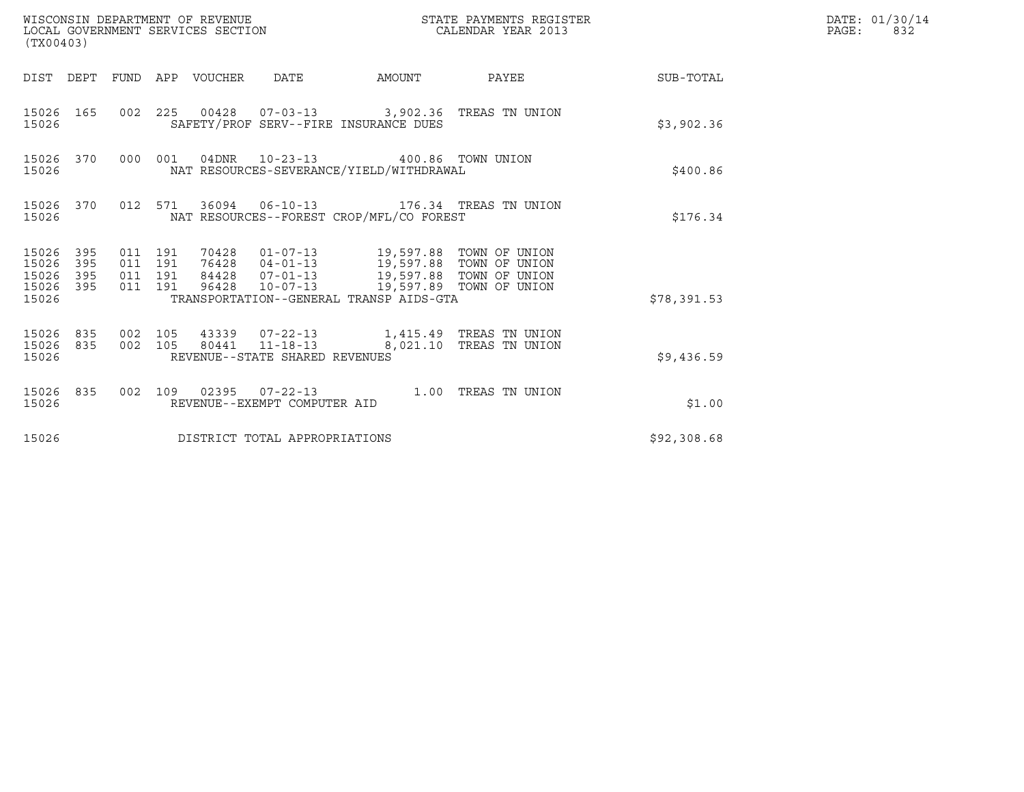| (TX00403)                                         |            |                                          |                                 | WISCONSIN DEPARTMENT OF REVENUE<br>LOCAL GOVERNMENT SERVICES SECTION |                                                                                                                                                                                                                                      | STATE PAYMENTS REGISTER<br>CALENDAR YEAR 2013                                                                                                                                                            |                        | DATE: 01/30/14<br>PAGE:<br>832 |
|---------------------------------------------------|------------|------------------------------------------|---------------------------------|----------------------------------------------------------------------|--------------------------------------------------------------------------------------------------------------------------------------------------------------------------------------------------------------------------------------|----------------------------------------------------------------------------------------------------------------------------------------------------------------------------------------------------------|------------------------|--------------------------------|
|                                                   |            |                                          | DIST DEPT FUND APP VOUCHER DATE |                                                                      |                                                                                                                                                                                                                                      |                                                                                                                                                                                                          | AMOUNT PAYEE SUB-TOTAL |                                |
| 15026 165<br>15026                                |            |                                          |                                 |                                                                      | 002 225 00428 07-03-13 3,902.36 TREAS TN UNION<br>SAFETY/PROF SERV--FIRE INSURANCE DUES                                                                                                                                              |                                                                                                                                                                                                          | \$3,902.36             |                                |
| 15026                                             |            |                                          |                                 |                                                                      | 15026 370 000 001 04DNR 10-23-13 400.86 TOWN UNION<br>NAT RESOURCES-SEVERANCE/YIELD/WITHDRAWAL                                                                                                                                       |                                                                                                                                                                                                          | \$400.86               |                                |
| 15026                                             |            |                                          |                                 |                                                                      | 15026 370 012 571 36094 06-10-13 176.34 TREAS TN UNION<br>NAT RESOURCES--FOREST CROP/MFL/CO FOREST                                                                                                                                   |                                                                                                                                                                                                          | \$176.34               |                                |
| 15026 395<br>15026<br>15026<br>15026 395<br>15026 | 395<br>395 | 011 191<br>011 191<br>011 191<br>011 191 |                                 |                                                                      | 70428   01-07-13   19,597.88   TOWN OF UNION<br>76428   04-01-13   19,597.88   TOWN OF UNION<br>84428   07-01-13   19,597.88   TOWN OF UNION<br>96428  10-07-13  19,597.89  TOWN OF UNION<br>TRANSPORTATION--GENERAL TRANSP AIDS-GTA |                                                                                                                                                                                                          | \$78,391.53            |                                |
| 15026                                             |            |                                          |                                 | REVENUE--STATE SHARED REVENUES                                       |                                                                                                                                                                                                                                      | $\begin{array}{cccccccc} 15026 & 835 & 002 & 105 & 43339 & 07-22-13 & & 1,415.49 & \text{TREAS TN UNION} \\ 15026 & 835 & 002 & 105 & 80441 & 11-18-13 & & 8,021.10 & \text{TREAS TN UNION} \end{array}$ | \$9,436.59             |                                |
| 15026                                             |            |                                          |                                 | REVENUE--EXEMPT COMPUTER AID                                         |                                                                                                                                                                                                                                      | 15026 835 002 109 02395 07-22-13 1.00 TREAS TN UNION                                                                                                                                                     | \$1.00                 |                                |
| 15026                                             |            |                                          |                                 | DISTRICT TOTAL APPROPRIATIONS                                        |                                                                                                                                                                                                                                      |                                                                                                                                                                                                          | \$92,308.68            |                                |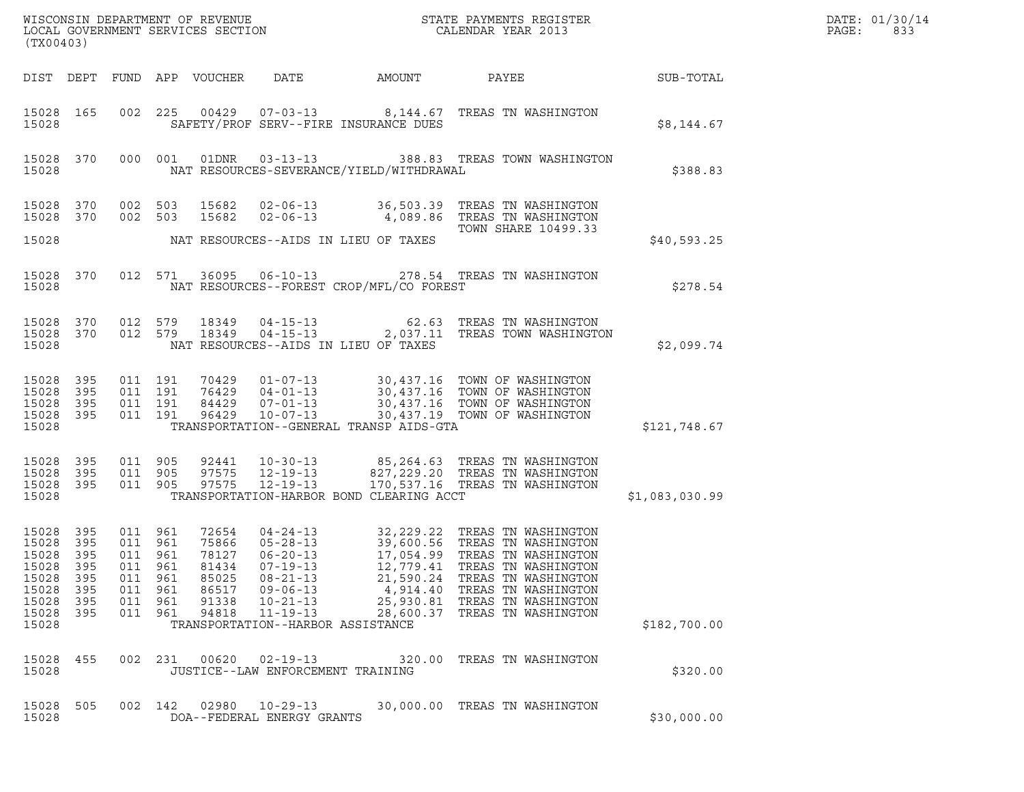|                                                                                   | ${\tt WISCOONSIM\ DEPARTMENT\ OF\ REVENUE}\ {\tt LOCALENDAR\ VERA}$ LOCAL GOVERNMENT SERVICES SECTION ${\tt LOCALENDAR\ VERAR\ 2013}$<br>(TX00403) |                                                                      |                          |                                                                      |                                                                                                                                                                 |                                                              |                                                                                                                                                                                                                              |                  | DATE: 01/30/14<br>PAGE:<br>833 |
|-----------------------------------------------------------------------------------|----------------------------------------------------------------------------------------------------------------------------------------------------|----------------------------------------------------------------------|--------------------------|----------------------------------------------------------------------|-----------------------------------------------------------------------------------------------------------------------------------------------------------------|--------------------------------------------------------------|------------------------------------------------------------------------------------------------------------------------------------------------------------------------------------------------------------------------------|------------------|--------------------------------|
|                                                                                   |                                                                                                                                                    |                                                                      |                          | DIST DEPT FUND APP VOUCHER                                           | DATE                                                                                                                                                            | AMOUNT                                                       | PAYEE                                                                                                                                                                                                                        | <b>SUB-TOTAL</b> |                                |
| 15028 165<br>15028                                                                |                                                                                                                                                    |                                                                      |                          |                                                                      |                                                                                                                                                                 | SAFETY/PROF SERV--FIRE INSURANCE DUES                        | 002 225 00429 07-03-13 8,144.67 TREAS TN WASHINGTON                                                                                                                                                                          | \$8,144.67       |                                |
| 15028                                                                             | 15028 370                                                                                                                                          |                                                                      |                          |                                                                      |                                                                                                                                                                 | NAT RESOURCES-SEVERANCE/YIELD/WITHDRAWAL                     | 000 001 01DNR 03-13-13 388.83 TREAS TOWN WASHINGTON                                                                                                                                                                          | \$388.83         |                                |
| 15028 370<br>15028 370                                                            |                                                                                                                                                    | 002 503<br>002 503                                                   |                          | 15682<br>15682                                                       | $02 - 06 - 13$                                                                                                                                                  |                                                              | 02-06-13 36,503.39 TREAS TN WASHINGTON<br>4,089.86 TREAS TN WASHINGTON<br>TOWN SHARE 10499.33                                                                                                                                |                  |                                |
| 15028                                                                             |                                                                                                                                                    |                                                                      |                          |                                                                      |                                                                                                                                                                 | NAT RESOURCES--AIDS IN LIEU OF TAXES                         |                                                                                                                                                                                                                              | \$40,593.25      |                                |
| 15028 370<br>15028                                                                |                                                                                                                                                    |                                                                      |                          | 012 571 36095                                                        |                                                                                                                                                                 | NAT RESOURCES--FOREST CROP/MFL/CO FOREST                     | 06-10-13 278.54 TREAS TN WASHINGTON                                                                                                                                                                                          | \$278.54         |                                |
| 15028 370<br>15028                                                                | 15028 370                                                                                                                                          | 012 579<br>012 579                                                   |                          | 18349<br>18349                                                       | $04 - 15 - 13$<br>$04 - 15 - 13$                                                                                                                                | NAT RESOURCES--AIDS IN LIEU OF TAXES                         | 62.63 TREAS TN WASHINGTON<br>2,037.11 TREAS TOWN WASHINGTO<br>2,037.11 TREAS TOWN WASHINGTON                                                                                                                                 | \$2,099.74       |                                |
| 15028<br>15028<br>15028<br>15028 395<br>15028                                     | 395<br>395<br>395                                                                                                                                  | 011 191<br>011 191<br>011 191<br>011 191                             |                          | 96429                                                                | $10 - 07 - 13$                                                                                                                                                  | TRANSPORTATION--GENERAL TRANSP AIDS-GTA                      | 70429  01-07-13  30,437.16  TOWN OF WASHINGTON<br>76429  04-01-13  30,437.16  TOWN OF WASHINGTON<br>84429  07-01-13  30,437.16  TOWN OF WASHINGTON<br>30,437.19 TOWN OF WASHINGTON                                           | \$121,748.67     |                                |
| 15028 395<br>15028<br>15028 395<br>15028                                          | 395                                                                                                                                                | 011 905<br>011 905<br>011 905                                        |                          | 92441<br>97575<br>97575                                              | 12-19-13<br>12-19-13                                                                                                                                            | TRANSPORTATION-HARBOR BOND CLEARING ACCT                     | 10-30-13 85,264.63 TREAS TN WASHINGTON<br>827,229.20 TREAS TN WASHINGTON<br>170,537.16 TREAS TN WASHINGTON                                                                                                                   | \$1,083,030.99   |                                |
| 15028 395<br>15028<br>15028<br>15028<br>15028<br>15028<br>15028<br>15028<br>15028 | 395<br>395<br>395<br>395<br>395<br>395<br>395                                                                                                      | 011 961<br>011 961<br>011 961<br>011<br>011<br>011<br>011<br>011 961 | 961<br>961<br>961<br>961 | 72654<br>75866<br>78127<br>81434<br>85025<br>86517<br>91338<br>94818 | $05 - 28 - 13$<br>$06 - 20 - 13$<br>$07 - 19 - 13$<br>$08 - 21 - 13$<br>$09 - 06 - 13$<br>$10 - 21 - 13$<br>$11 - 19 - 13$<br>TRANSPORTATION--HARBOR ASSISTANCE | 12,779.41<br>21,590.24<br>4,914.40<br>25,930.81<br>28,600.37 | 04-24-13 32, 229.22 TREAS TN WASHINGTON<br>39,600.56 TREAS TN WASHINGTON<br>17,054.99 TREAS TN WASHINGTON<br>TREAS TN WASHINGTON<br>TREAS TN WASHINGTON<br>TREAS TN WASHINGTON<br>TREAS TN WASHINGTON<br>TREAS TN WASHINGTON | \$182,700.00     |                                |
| 15028<br>15028                                                                    | 455                                                                                                                                                | 002 231                                                              |                          | 00620                                                                | $02 - 19 - 13$<br>JUSTICE--LAW ENFORCEMENT TRAINING                                                                                                             |                                                              | 320.00 TREAS TN WASHINGTON                                                                                                                                                                                                   | \$320.00         |                                |
| 15028<br>15028                                                                    | 505                                                                                                                                                | 002 142                                                              |                          | 02980                                                                | $10 - 29 - 13$<br>DOA--FEDERAL ENERGY GRANTS                                                                                                                    |                                                              | 30,000.00 TREAS TN WASHINGTON                                                                                                                                                                                                | \$30,000.00      |                                |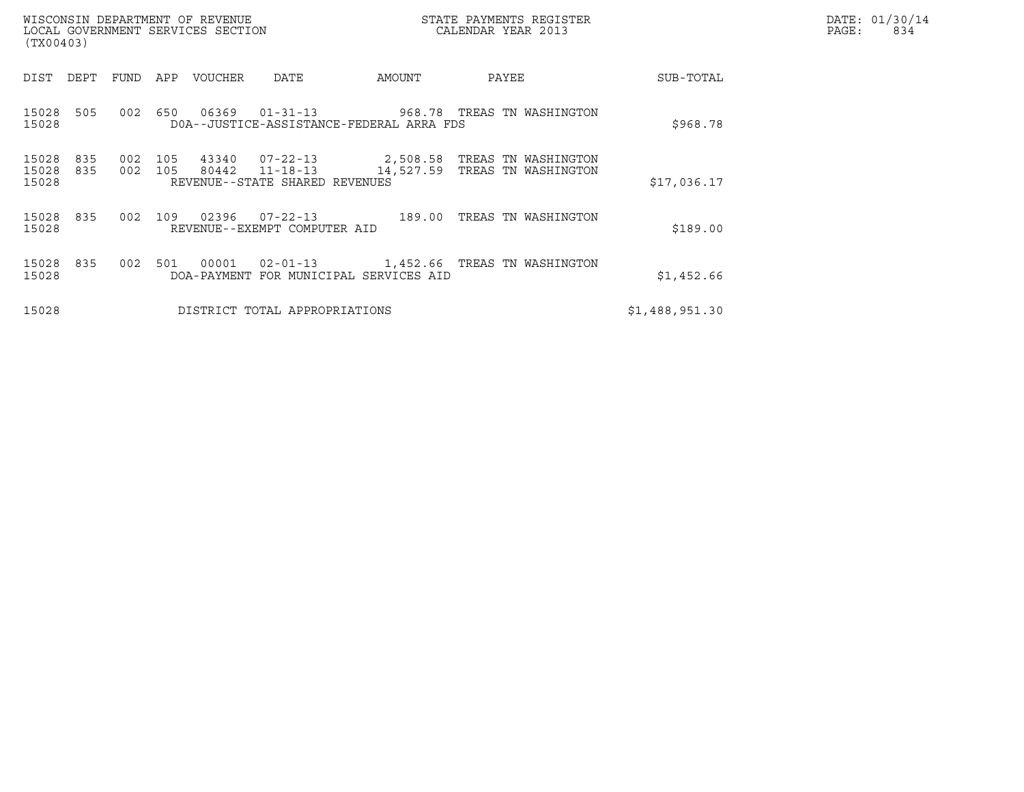| (TX00403)               |            |                |     | WISCONSIN DEPARTMENT OF REVENUE<br>LOCAL GOVERNMENT SERVICES SECTION |                                          |        | STATE PAYMENTS REGISTER<br>CALENDAR YEAR 2013                                                     |                | DATE: 01/30/14<br>PAGE:<br>834 |
|-------------------------|------------|----------------|-----|----------------------------------------------------------------------|------------------------------------------|--------|---------------------------------------------------------------------------------------------------|----------------|--------------------------------|
| DIST                    | DEPT       | FUND           |     | APP VOUCHER                                                          | DATE                                     | AMOUNT | PAYEE                                                                                             | SUB-TOTAL      |                                |
| 15028<br>15028          | 505        | 002            | 650 | 06369                                                                | DOA--JUSTICE-ASSISTANCE-FEDERAL ARRA FDS |        |                                                                                                   | \$968.78       |                                |
| 15028<br>15028<br>15028 | 835<br>835 | 002<br>002 105 | 105 |                                                                      | REVENUE--STATE SHARED REVENUES           |        | 43340  07-22-13  2,508.58  TREAS TN WASHINGTON<br>80442  11-18-13  14,527.59  TREAS TN WASHINGTON | \$17,036.17    |                                |
| 15028 835<br>15028      |            | 002 109        |     |                                                                      | REVENUE--EXEMPT COMPUTER AID             |        | 02396  07-22-13  189.00 TREAS TN WASHINGTON                                                       | \$189.00       |                                |
| 15028 835<br>15028      |            | 002 501        |     |                                                                      | DOA-PAYMENT FOR MUNICIPAL SERVICES AID   |        | 00001  02-01-13  1,452.66  TREAS TN WASHINGTON                                                    | \$1,452.66     |                                |
| 15028                   |            |                |     |                                                                      | DISTRICT TOTAL APPROPRIATIONS            |        |                                                                                                   | \$1,488,951.30 |                                |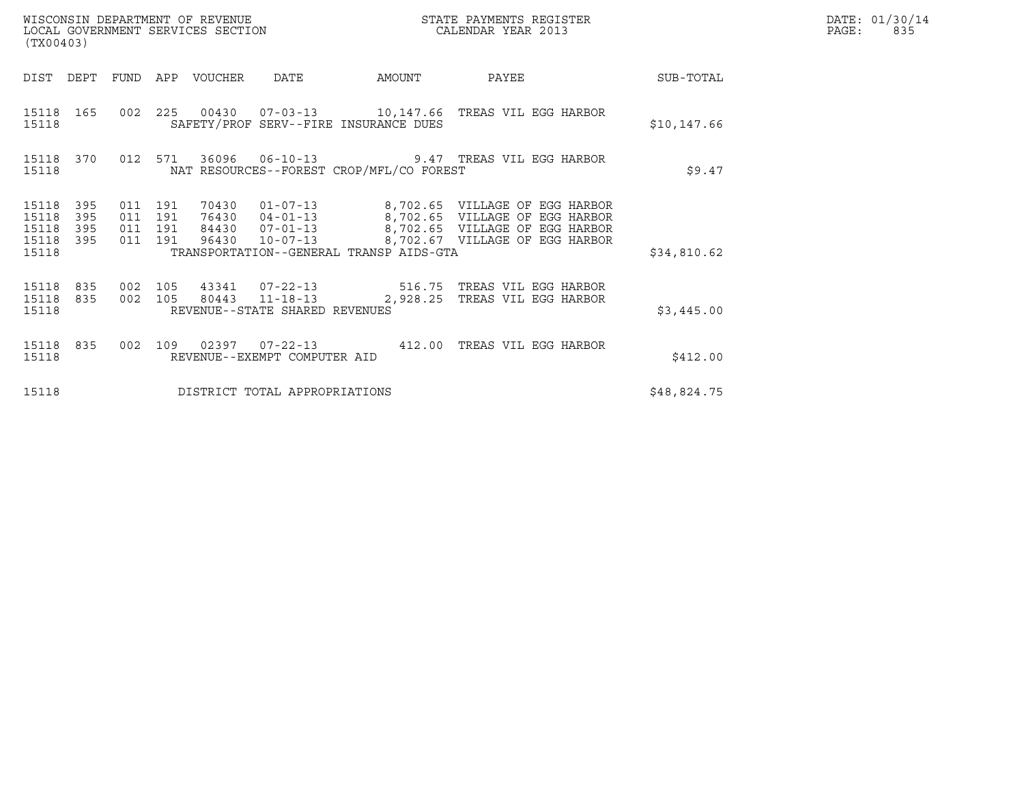| (TX00403)                                     |                   |                                          |  |                                 |                                |                                          |                                                                                                                                                                                                                        |             | DATE: 01/30/14<br>PAGE: 835 |
|-----------------------------------------------|-------------------|------------------------------------------|--|---------------------------------|--------------------------------|------------------------------------------|------------------------------------------------------------------------------------------------------------------------------------------------------------------------------------------------------------------------|-------------|-----------------------------|
|                                               |                   |                                          |  | DIST DEPT FUND APP VOUCHER DATE |                                |                                          | AMOUNT PAYEE                                                                                                                                                                                                           | SUB-TOTAL   |                             |
| 15118                                         |                   |                                          |  |                                 |                                | SAFETY/PROF SERV--FIRE INSURANCE DUES    | 15118  165  002  225  00430  07-03-13  10,147.66  TREAS VIL EGG HARBOR                                                                                                                                                 | \$10,147.66 |                             |
| 15118                                         |                   |                                          |  |                                 |                                | NAT RESOURCES--FOREST CROP/MFL/CO FOREST | 15118 370 012 571 36096 06-10-13 9.47 TREAS VIL EGG HARBOR                                                                                                                                                             | \$9.47      |                             |
| 15118<br>15118<br>15118<br>15118 395<br>15118 | 395<br>395<br>395 | 011 191<br>011 191<br>011 191<br>011 191 |  |                                 |                                | TRANSPORTATION--GENERAL TRANSP AIDS-GTA  | 70430  01-07-13  8,702.65  VILLAGE OF EGG HARBOR<br>76430 04-01-13 8,702.65 VILLAGE OF EGG HARBOR<br>84430 07-01-13 8,702.65 VILLAGE OF EGG HARBOR<br>96430 10-07-13 8,702.65 VILLAGE OF EGG HARBOR                    | \$34,810.62 |                             |
| 15118                                         |                   |                                          |  |                                 | REVENUE--STATE SHARED REVENUES |                                          | $\begin{array}{cccccccc} 15118 & 835 & 002 & 105 & 43341 & 07-22-13 & & & 516.75 & \text{TREAS VII EGG HARBOR} \\ 15118 & 835 & 002 & 105 & 80443 & 11-18-13 & & & 2,928.25 & \text{TREAS VII EGG HARBOR} \end{array}$ | \$3,445.00  |                             |
| 15118                                         |                   |                                          |  |                                 | REVENUE--EXEMPT COMPUTER AID   |                                          | 15118 835 002 109 02397 07-22-13 412.00 TREAS VIL EGG HARBOR                                                                                                                                                           | \$412.00    |                             |
| 15118                                         |                   |                                          |  |                                 | DISTRICT TOTAL APPROPRIATIONS  |                                          |                                                                                                                                                                                                                        | \$48,824.75 |                             |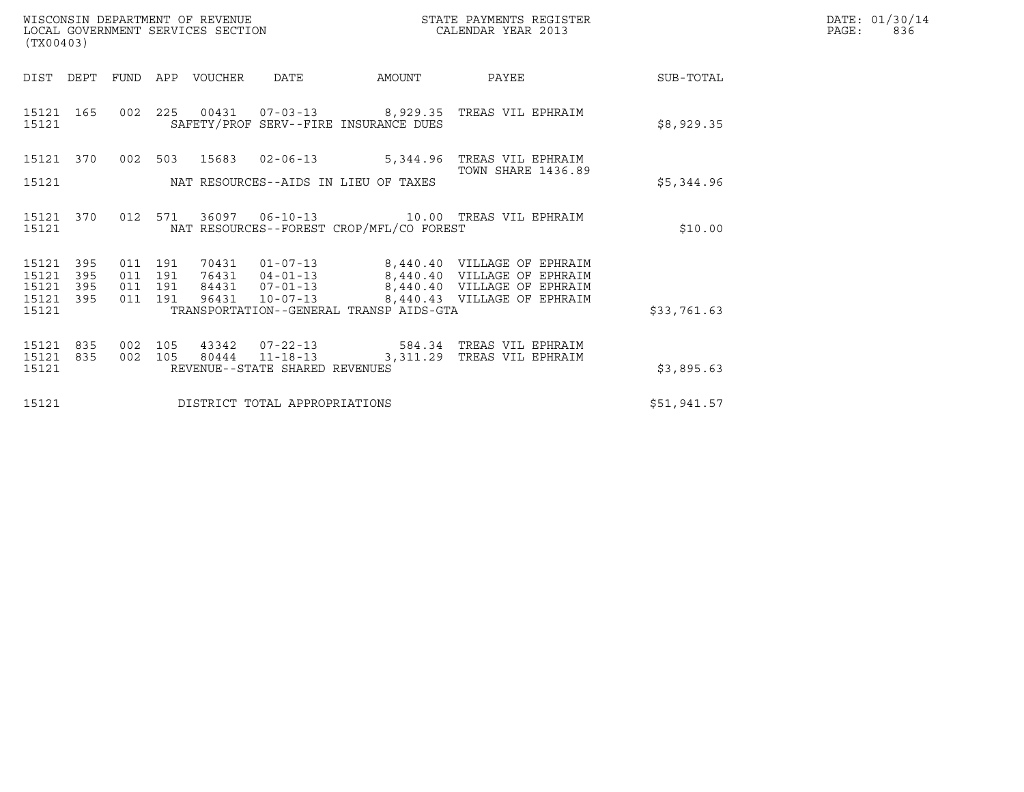|       | DATE: 01/30/14 |
|-------|----------------|
| PAGE: | 836            |

| WISCONSIN DEPARTMENT OF REVENUE<br>LOCAL GOVERNMENT SERVICES SECTION<br>(TX00403) |                                                                   |                                                     |                                          |                  |                                |                                         | STATE PAYMENTS REGISTER<br>CALENDAR YEAR 2013                                                                                                                                           |             | DATE: 01/30/14<br>PAGE:<br>836 |
|-----------------------------------------------------------------------------------|-------------------------------------------------------------------|-----------------------------------------------------|------------------------------------------|------------------|--------------------------------|-----------------------------------------|-----------------------------------------------------------------------------------------------------------------------------------------------------------------------------------------|-------------|--------------------------------|
| DIST DEPT                                                                         |                                                                   |                                                     |                                          | FUND APP VOUCHER | DATE                           | AMOUNT                                  | PAYEE                                                                                                                                                                                   | SUB-TOTAL   |                                |
| 15121 165<br>15121                                                                |                                                                   |                                                     | 002 225                                  |                  |                                | SAFETY/PROF SERV--FIRE INSURANCE DUES   | 00431  07-03-13  8,929.35  TREAS VIL EPHRAIM                                                                                                                                            | \$8,929.35  |                                |
| 15121 370                                                                         |                                                                   | 002 503                                             |                                          |                  |                                | 15683  02-06-13  5,344.96               | TREAS VIL EPHRAIM                                                                                                                                                                       |             |                                |
| 15121                                                                             | <b>TOWN SHARE 1436.89</b><br>NAT RESOURCES--AIDS IN LIEU OF TAXES |                                                     |                                          |                  |                                |                                         |                                                                                                                                                                                         | \$5,344.96  |                                |
| 15121 370<br>15121                                                                |                                                                   | 012 571<br>NAT RESOURCES--FOREST CROP/MFL/CO FOREST |                                          |                  |                                |                                         |                                                                                                                                                                                         | \$10.00     |                                |
| 15121<br>15121<br>15121<br>15121 395                                              | 395<br>395<br>395                                                 |                                                     | 011 191<br>011 191<br>011 191<br>011 191 | 96431            |                                |                                         | 70431  01-07-13  8,440.40  VILLAGE OF EPHRAIM<br>76431  04-01-13  8,440.40  VILLAGE OF EPHRAIM<br>84431  07-01-13  8,440.40  VILLAGE OF EPHRAIM<br>10-07-13 8,440.43 VILLAGE OF EPHRAIM |             |                                |
| 15121                                                                             |                                                                   |                                                     |                                          |                  |                                | TRANSPORTATION--GENERAL TRANSP AIDS-GTA |                                                                                                                                                                                         | \$33,761.63 |                                |
| 15121<br>15121<br>15121                                                           | 835<br>835                                                        | 002<br>002                                          | 105<br>105                               |                  | REVENUE--STATE SHARED REVENUES |                                         | 43342  07-22-13  584.34  TREAS VIL EPHRAIM<br>80444  11-18-13  3,311.29  TREAS VIL EPHRAIM                                                                                              | \$3,895.63  |                                |
| DISTRICT TOTAL APPROPRIATIONS<br>15121                                            |                                                                   |                                                     |                                          |                  |                                |                                         |                                                                                                                                                                                         | \$51,941.57 |                                |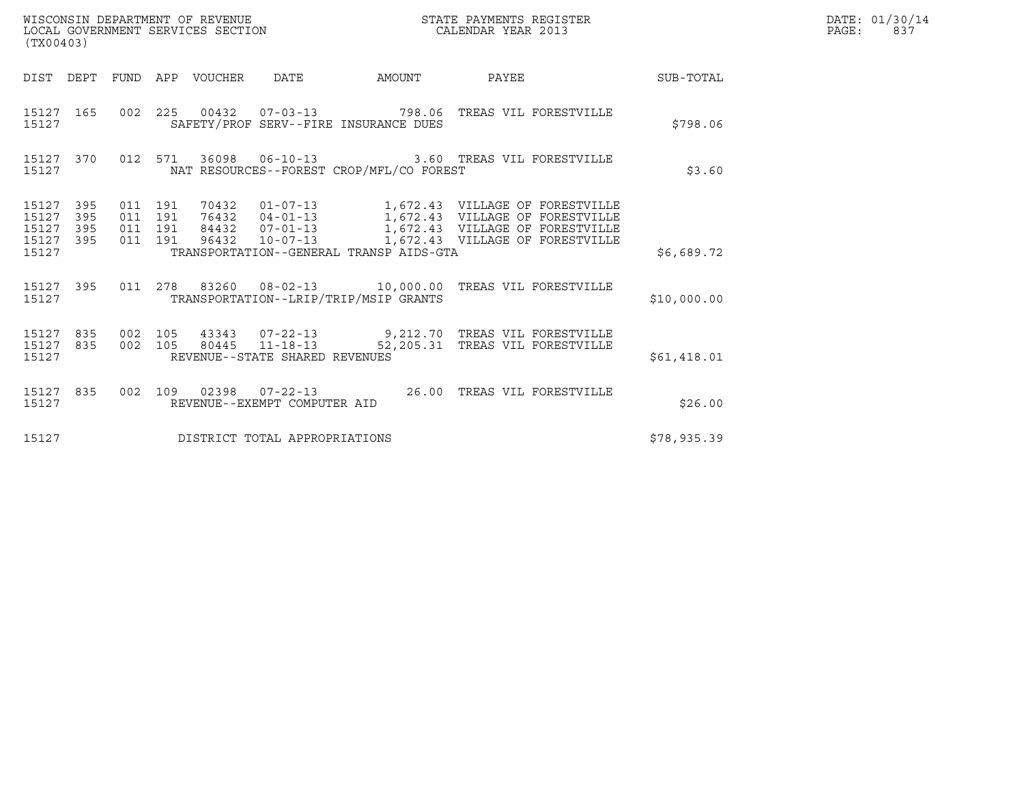| WISCONSIN DEPARTMENT OF REVENUE<br>LOCAL GOVERNMENT SERVICES SECTION<br>$\sqrt{2}$ | STATE PAYMENTS REGISTER<br>CALENDAR YEAR 2013 | DATE: 01/30/14<br>837<br>PAGE: |
|------------------------------------------------------------------------------------|-----------------------------------------------|--------------------------------|

| (TX00403)                                         |            |  |                                                                                                                                                                                                                                                                                 |  |                                                                                                         |  |                                                                                                                 |             | DATE: 01/30/14<br>PAGE:<br>837 |
|---------------------------------------------------|------------|--|---------------------------------------------------------------------------------------------------------------------------------------------------------------------------------------------------------------------------------------------------------------------------------|--|---------------------------------------------------------------------------------------------------------|--|-----------------------------------------------------------------------------------------------------------------|-------------|--------------------------------|
|                                                   |            |  |                                                                                                                                                                                                                                                                                 |  |                                                                                                         |  | DIST DEPT FUND APP VOUCHER DATE AMOUNT PAYEE                                                                    | SUB-TOTAL   |                                |
| 15127                                             |            |  |                                                                                                                                                                                                                                                                                 |  | SAFETY/PROF SERV--FIRE INSURANCE DUES                                                                   |  | 15127 165 002 225 00432 07-03-13 798.06 TREAS VIL FORESTVILLE                                                   | \$798.06    |                                |
| 15127                                             |            |  |                                                                                                                                                                                                                                                                                 |  | 15127 370 012 571 36098 06-10-13 3.60 TREAS VIL FORESTVILLE<br>NAT RESOURCES--FOREST CROP/MFL/CO FOREST |  | \$3.60                                                                                                          |             |                                |
| 15127 395<br>15127<br>15127<br>15127 395<br>15127 | 395<br>395 |  | 011 191 70432 01-07-13 1,672.43 VILLAGE OF FORESTVILLE<br>011 191 76432 04-01-13 1,672.43 VILLAGE OF FORESTVILLE<br>011 191 84432 07-01-13 1,672.43 VILLAGE OF FORESTVILLE<br>011 191 96432 10-07-13 1,672.43 VILLAGE OF FORESTVILLE<br>TRANSPORTATION--GENERAL TRANSP AIDS-GTA |  |                                                                                                         |  |                                                                                                                 | \$6,689.72  |                                |
| 15127                                             |            |  |                                                                                                                                                                                                                                                                                 |  | TRANSPORTATION--LRIP/TRIP/MSIP GRANTS                                                                   |  | 15127 395 011 278 83260 08-02-13 10,000.00 TREAS VIL FORESTVILLE                                                | \$10,000.00 |                                |
| 15127 835<br>15127 835<br>15127                   |            |  |                                                                                                                                                                                                                                                                                 |  | REVENUE--STATE SHARED REVENUES                                                                          |  | 002 105 43343 07-22-13 9,212.70 TREAS VIL FORESTVILLE<br>002 105 80445 11-18-13 52,205.31 TREAS VIL FORESTVILLE | \$61,418.01 |                                |
| 15127                                             | 15127 835  |  |                                                                                                                                                                                                                                                                                 |  | REVENUE--EXEMPT COMPUTER AID                                                                            |  | 002 109 02398 07-22-13 26.00 TREAS VIL FORESTVILLE                                                              | \$26.00     |                                |
| 15127                                             |            |  |                                                                                                                                                                                                                                                                                 |  | DISTRICT TOTAL APPROPRIATIONS                                                                           |  | \$78,935.39                                                                                                     |             |                                |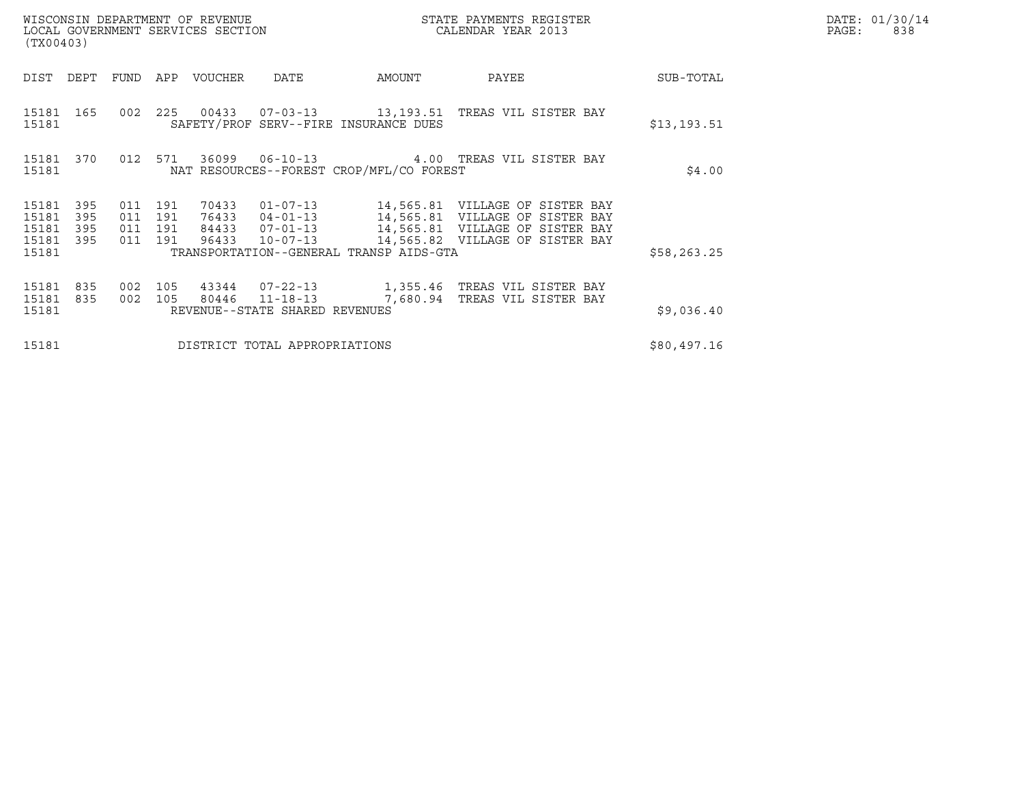| WISCONSIN DEPARTMENT OF REVENUE<br>LOCAL GOVERNMENT SERVICES SECTION<br>(TX00403) |                                                                                                       |  |                               |                                            | STATE PAYMENTS REGISTER<br>CALENDAR YEAR 2013 |                                                                                                                                                                              |             | DATE: 01/30/14<br>$\mathtt{PAGE}$ :<br>838 |
|-----------------------------------------------------------------------------------|-------------------------------------------------------------------------------------------------------|--|-------------------------------|--------------------------------------------|-----------------------------------------------|------------------------------------------------------------------------------------------------------------------------------------------------------------------------------|-------------|--------------------------------------------|
| DEPT FUND<br>DIST                                                                 |                                                                                                       |  | APP VOUCHER                   | DATE                                       | AMOUNT                                        | PAYEE                                                                                                                                                                        | SUB-TOTAL   |                                            |
| 15181 165<br>15181                                                                | 002 225                                                                                               |  |                               |                                            | SAFETY/PROF SERV--FIRE INSURANCE DUES         | 00433  07-03-13  13,193.51  TREAS VIL SISTER BAY                                                                                                                             | \$13,193.51 |                                            |
| 15181 370<br>15181                                                                | 012 571<br>36099   06-10-13   4.00   TREAS VIL SISTER BAY<br>NAT RESOURCES--FOREST CROP/MFL/CO FOREST |  |                               |                                            |                                               |                                                                                                                                                                              |             |                                            |
| 15181<br>395<br>15181<br>395<br>395<br>15181<br>15181<br>395                      | 011 191<br>011 191<br>011 191<br>011 191                                                              |  | 70433<br>96433                | 01-07-13<br>$10 - 07 - 13$                 |                                               | 14,565.81 VILLAGE OF SISTER BAY<br>76433  04-01-13  14,565.81  VILLAGE OF SISTER BAY<br>84433  07-01-13  14,565.81  VILLAGE OF SISTER BAY<br>14,565.82 VILLAGE OF SISTER BAY |             |                                            |
| 15181                                                                             |                                                                                                       |  |                               | TRANSPORTATION--GENERAL TRANSP AIDS-GTA    | \$58, 263.25                                  |                                                                                                                                                                              |             |                                            |
| 15181<br>835<br>15181<br>835<br>15181                                             | 002 105<br>002 105                                                                                    |  | 80446                         | 11-18-13<br>REVENUE--STATE SHARED REVENUES |                                               | 43344  07-22-13  1,355.46 TREAS VIL SISTER BAY<br>7,680.94 TREAS VIL SISTER BAY                                                                                              | \$9,036.40  |                                            |
| 15181                                                                             |                                                                                                       |  | DISTRICT TOTAL APPROPRIATIONS | \$80,497.16                                |                                               |                                                                                                                                                                              |             |                                            |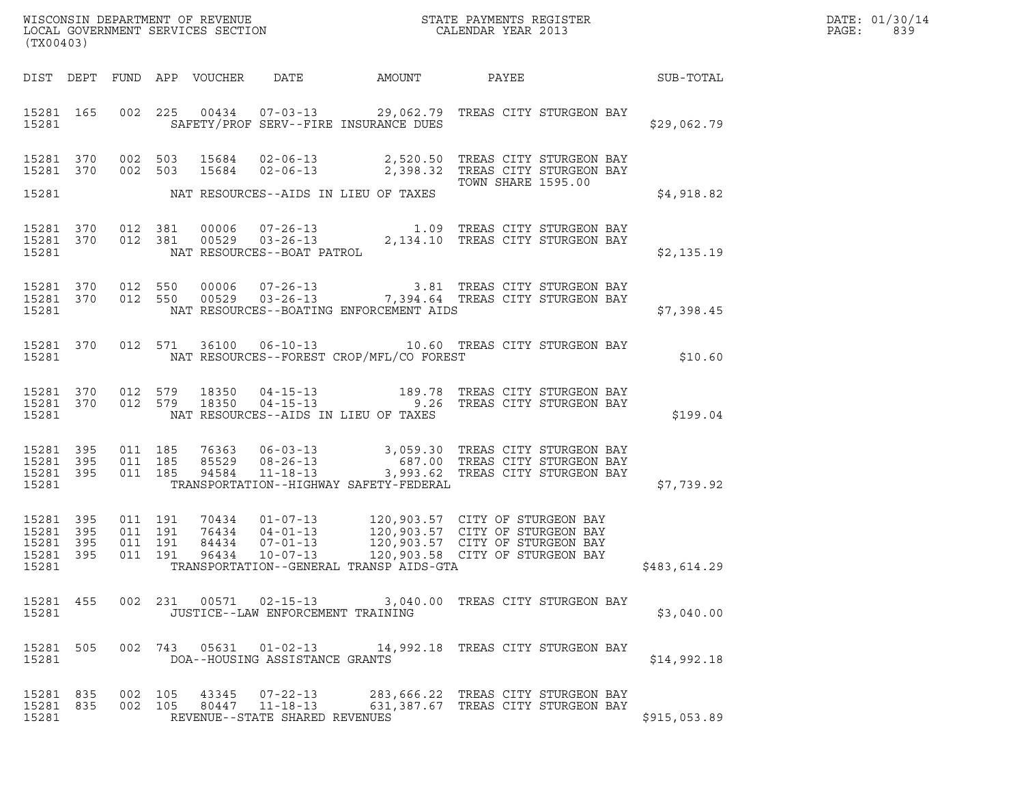| DATE: | 01/30/14 |
|-------|----------|
| PAGE: | 839      |

| (TX00403)                                                 |                                          |                                                                                                                                                                                                                                                                        | WISCONSIN DEPARTMENT OF REVENUE<br>LOCAL GOVERNMENT SERVICES SECTION<br>CALENDAR YEAR 2013 | DATE: 01/30/14<br>PAGE:<br>839 |
|-----------------------------------------------------------|------------------------------------------|------------------------------------------------------------------------------------------------------------------------------------------------------------------------------------------------------------------------------------------------------------------------|--------------------------------------------------------------------------------------------|--------------------------------|
|                                                           |                                          | DIST DEPT FUND APP VOUCHER DATE AMOUNT PAYEE SUB-TOTAL                                                                                                                                                                                                                 |                                                                                            |                                |
| 15281 165<br>15281                                        |                                          | 002 225 00434 07-03-13 29,062.79 TREAS CITY STURGEON BAY<br>SAFETY/PROF SERV--FIRE INSURANCE DUES                                                                                                                                                                      | \$29,062.79                                                                                |                                |
| 15281 370<br>15281 370                                    |                                          | 002 503 15684 02-06-13 2,520.50 TREAS CITY STURGEON BAY<br>002 503 15684 02-06-13 2,398.32 TREAS CITY STURGEON BAY                                                                                                                                                     | TOWN SHARE 1595.00                                                                         |                                |
|                                                           |                                          | 15281 NAT RESOURCES--AIDS IN LIEU OF TAXES                                                                                                                                                                                                                             | \$4,918.82                                                                                 |                                |
|                                                           |                                          | 15281 370 012 381 00006 07-26-13 1.09 TREAS CITY STURGEON BAY<br>15281 370 012 381 00529 03-26-13 2,134.10 TREAS CITY STURGEON BAY<br>15281 MAT RESOURCES--BOAT PATROL                                                                                                 | \$2,135.19                                                                                 |                                |
| 15281 370<br>15281 370<br>15281                           |                                          | 012 550 00006 07-26-13 3.81 TREAS CITY STURGEON BAY<br>012 550 00529 03-26-13 7,394.64 TREAS CITY STURGEON BAY<br>NAT RESOURCES--BOATING ENFORCEMENT AIDS                                                                                                              | \$7,398.45                                                                                 |                                |
| 15281                                                     |                                          | 15281 370 012 571 36100 06-10-13 10.60 TREAS CITY STURGEON BAY<br>NAT RESOURCES--FOREST CROP/MFL/CO FOREST                                                                                                                                                             | \$10.60                                                                                    |                                |
|                                                           |                                          | $\begin{array}{cccccccc} 15281 & 370 & 012 & 579 & 18350 & 04-15-13 & & & 189.78 & \text{TREAS CITY STUREEON BAY} \\ 15281 & 370 & 012 & 579 & 18350 & 04-15-13 & & & 9.26 & \text{TREAS CITY STUREEON BAY} \end{array}$<br>15281 NAT RESOURCES--AIDS IN LIEU OF TAXES | \$199.04                                                                                   |                                |
| 15281 395<br>15281 395<br>15281 395<br>15281              | 011 185<br>011 185<br>011 185            | TRANSPORTATION--HIGHWAY SAFETY-FEDERAL                                                                                                                                                                                                                                 | \$7,739.92                                                                                 |                                |
| 15281 395<br>15281 395<br>15281 395<br>15281 395<br>15281 | 011 191<br>011 191<br>011 191<br>011 191 | TRANSPORTATION--GENERAL TRANSP AIDS-GTA                                                                                                                                                                                                                                | \$483,614.29                                                                               |                                |
| 15281                                                     |                                          | 15281 455 002 231 00571 02-15-13 3,040.00 TREAS CITY STURGEON BAY<br>JUSTICE--LAW ENFORCEMENT TRAINING                                                                                                                                                                 | \$3,040.00                                                                                 |                                |
| 15281 505<br>15281                                        |                                          | 002 743 05631 01-02-13 14,992.18 TREAS CITY STURGEON BAY<br>DOA--HOUSING ASSISTANCE GRANTS                                                                                                                                                                             | \$14,992.18                                                                                |                                |
| 15281 835<br>15281 835<br>15281                           |                                          | 002 105 43345 07-22-13 283,666.22 TREAS CITY STURGEON BAY<br>002 105 80447 11-18-13 631,387.67 TREAS CITY STURGEON BAY<br>REVENUE--STATE SHARED REVENUES                                                                                                               | \$915,053.89                                                                               |                                |